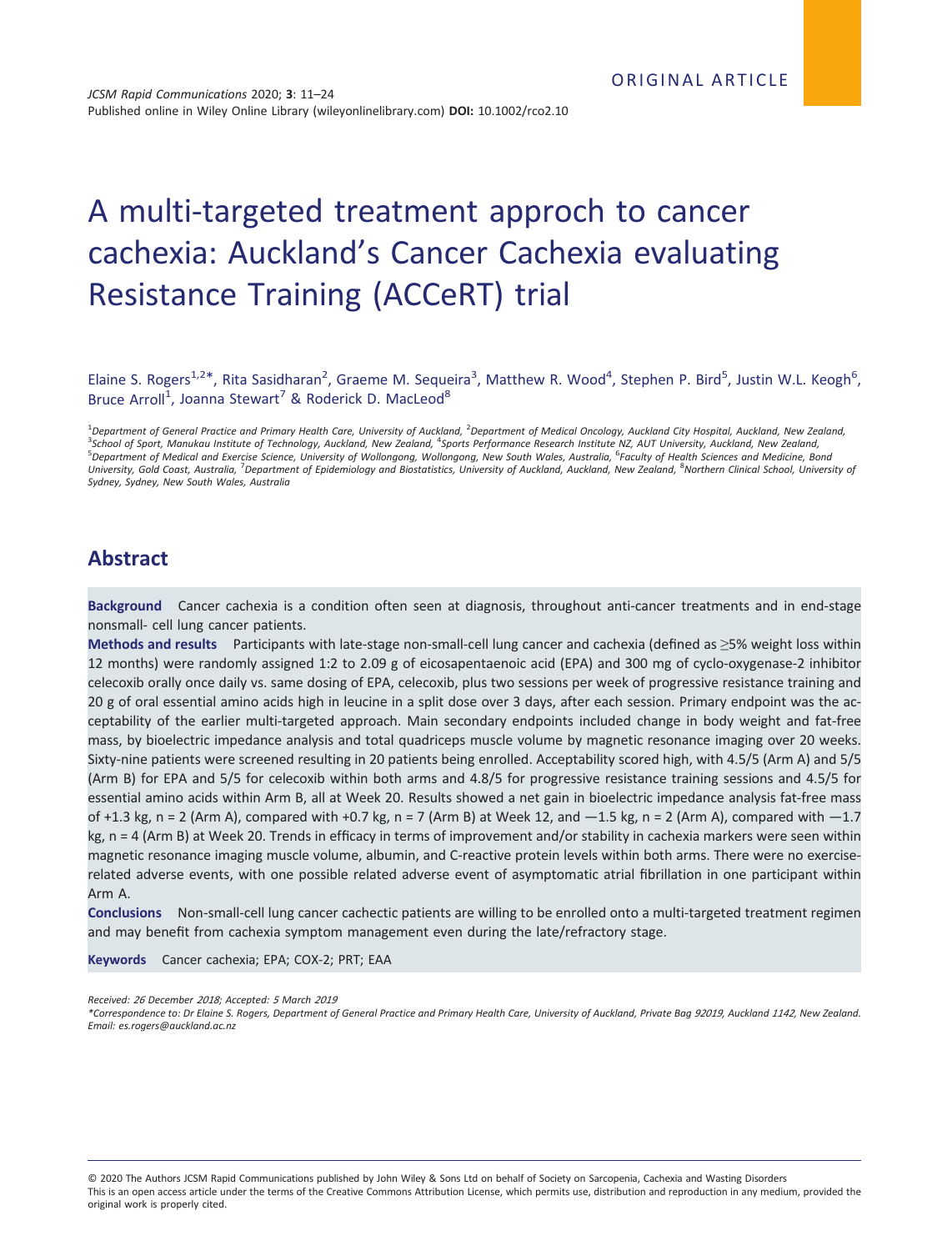# A multi-targeted treatment approch to cancer cachexia: Auckland's Cancer Cachexia evaluating Resistance Training (ACCeRT) trial

Elaine S. Rogers<sup>1,2\*</sup>, Rita Sasidharan<sup>2</sup>, Graeme M. Sequeira<sup>3</sup>, Matthew R. Wood<sup>4</sup>, Stephen P. Bird<sup>5</sup>, Justin W.L. Keogh<sup>6</sup>, Bruce Arroll<sup>1</sup>, Joanna Stewart<sup>7</sup> & Roderick D. MacLeod<sup>8</sup>

<sup>1</sup>Department of General Practice and Primary Health Care, University of Auckland, <sup>2</sup>Department of Medical Oncology, Auckland City Hospital, Auckland, New Zealand,<br><sup>3</sup>School of Sport, Manukay Institute of Technology, Auck <sup>3</sup>School of Sport, Manukau Institute of Technology, Auckland, New Zealand, <sup>4</sup>Sports Performance Research Institute NZ, AUT University, Auckland, New Zealand,<br><sup>5</sup>Department of Medical and Exercise Science, University of W University, Gold Coast, Australia, <sup>7</sup>Department of Epidemiology and Biostatistics, University of Auckland, Auckland, New Zealand, <sup>8</sup>Northern Clinical School, University of Sydney, Sydney, New South Wales, Australia

## Abstract

Background Cancer cachexia is a condition often seen at diagnosis, throughout anti-cancer treatments and in end-stage nonsmall- cell lung cancer patients.

Methods and results Participants with late-stage non-small-cell lung cancer and cachexia (defined as  $\geq$ 5% weight loss within 12 months) were randomly assigned 1:2 to 2.09 g of eicosapentaenoic acid (EPA) and 300 mg of cyclo-oxygenase-2 inhibitor celecoxib orally once daily vs. same dosing of EPA, celecoxib, plus two sessions per week of progressive resistance training and 20 g of oral essential amino acids high in leucine in a split dose over 3 days, after each session. Primary endpoint was the acceptability of the earlier multi-targeted approach. Main secondary endpoints included change in body weight and fat-free mass, by bioelectric impedance analysis and total quadriceps muscle volume by magnetic resonance imaging over 20 weeks. Sixty-nine patients were screened resulting in 20 patients being enrolled. Acceptability scored high, with 4.5/5 (Arm A) and 5/5 (Arm B) for EPA and 5/5 for celecoxib within both arms and 4.8/5 for progressive resistance training sessions and 4.5/5 for essential amino acids within Arm B, all at Week 20. Results showed a net gain in bioelectric impedance analysis fat-free mass of +1.3 kg, n = 2 (Arm A), compared with +0.7 kg, n = 7 (Arm B) at Week 12, and  $-1.5$  kg, n = 2 (Arm A), compared with  $-1.7$ kg, n = 4 (Arm B) at Week 20. Trends in efficacy in terms of improvement and/or stability in cachexia markers were seen within magnetic resonance imaging muscle volume, albumin, and C-reactive protein levels within both arms. There were no exerciserelated adverse events, with one possible related adverse event of asymptomatic atrial fibrillation in one participant within Arm A.

Conclusions Non-small-cell lung cancer cachectic patients are willing to be enrolled onto a multi-targeted treatment regimen and may benefit from cachexia symptom management even during the late/refractory stage.

Keywords Cancer cachexia; EPA; COX-2; PRT; EAA

Received: <sup>26</sup> December <sup>2018</sup>; Accepted: <sup>5</sup> March <sup>2019</sup>

\*Correspondence to: Dr Elaine S. Rogers, Department of General Practice and Primary Health Care, University of Auckland, Private Bag <sup>92019</sup>, Auckland <sup>1142</sup>, New Zealand. Email: es.rogers@auckland.ac.nz

© 2020 The Authors JCSM Rapid Communications published by John Wiley & Sons Ltd on behalf of Society on Sarcopenia, Cachexia and Wasting Disorders This is an open access article under the terms of the [Creative Commons Attribution](http://creativecommons.org/licenses/by/4.0/) License, which permits use, distribution and reproduction in any medium, provided the original work is properly cited.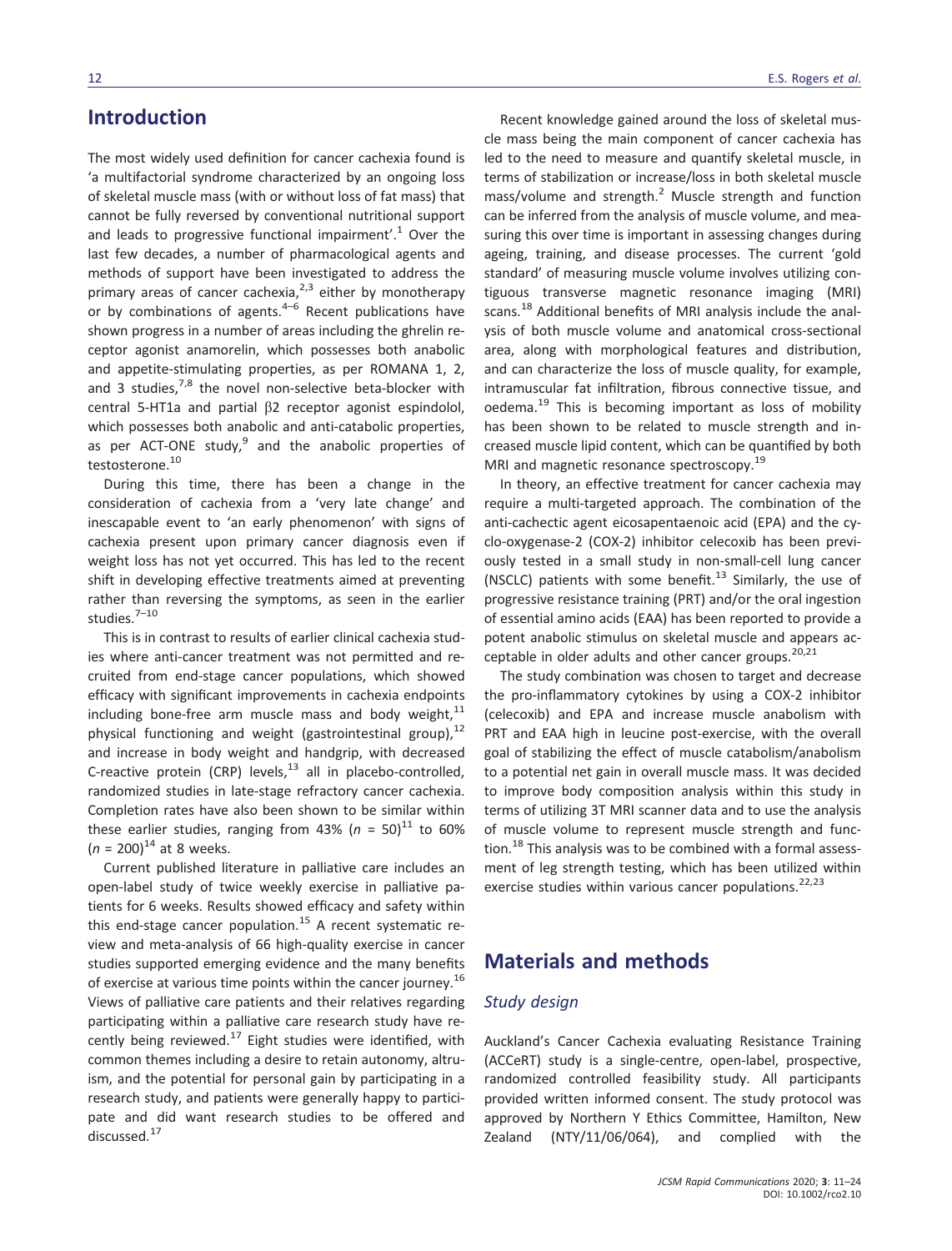# Introduction

The most widely used definition for cancer cachexia found is 'a multifactorial syndrome characterized by an ongoing loss of skeletal muscle mass (with or without loss of fat mass) that cannot be fully reversed by conventional nutritional support and leads to progressive functional impairment'.<sup>1</sup> Over the last few decades, a number of pharmacological agents and methods of support have been investigated to address the primary areas of cancer cachexia, $2,3$  either by monotherapy or by combinations of agents. $4-6$  Recent publications have shown progress in a number of areas including the ghrelin receptor agonist anamorelin, which possesses both anabolic and appetite-stimulating properties, as per ROMANA 1, 2, and 3 studies, $7,8$  the novel non-selective beta-blocker with central 5-HT1a and partial β2 receptor agonist espindolol, which possesses both anabolic and anti-catabolic properties, as per ACT-ONE study, $9$  and the anabolic properties of testosterone.<sup>10</sup>

During this time, there has been a change in the consideration of cachexia from a 'very late change' and inescapable event to 'an early phenomenon' with signs of cachexia present upon primary cancer diagnosis even if weight loss has not yet occurred. This has led to the recent shift in developing effective treatments aimed at preventing rather than reversing the symptoms, as seen in the earlier studies.<sup>7-10</sup>

This is in contrast to results of earlier clinical cachexia studies where anti-cancer treatment was not permitted and recruited from end-stage cancer populations, which showed efficacy with significant improvements in cachexia endpoints including bone-free arm muscle mass and body weight, $11$ physical functioning and weight (gastrointestinal group), $^{12}$ and increase in body weight and handgrip, with decreased C-reactive protein (CRP) levels, $^{13}$  all in placebo-controlled, randomized studies in late-stage refractory cancer cachexia. Completion rates have also been shown to be similar within these earlier studies, ranging from 43% ( $n = 50$ )<sup>11</sup> to 60%  $(n = 200)^{14}$  at 8 weeks.

Current published literature in palliative care includes an open-label study of twice weekly exercise in palliative patients for 6 weeks. Results showed efficacy and safety within this end-stage cancer population.<sup>15</sup> A recent systematic review and meta-analysis of 66 high-quality exercise in cancer studies supported emerging evidence and the many benefits of exercise at various time points within the cancer journey.<sup>16</sup> Views of palliative care patients and their relatives regarding participating within a palliative care research study have recently being reviewed. $^{17}$  Eight studies were identified, with common themes including a desire to retain autonomy, altruism, and the potential for personal gain by participating in a research study, and patients were generally happy to participate and did want research studies to be offered and discussed.<sup>17</sup>

Recent knowledge gained around the loss of skeletal muscle mass being the main component of cancer cachexia has led to the need to measure and quantify skeletal muscle, in terms of stabilization or increase/loss in both skeletal muscle mass/volume and strength. $<sup>2</sup>$  Muscle strength and function</sup> can be inferred from the analysis of muscle volume, and measuring this over time is important in assessing changes during ageing, training, and disease processes. The current 'gold standard' of measuring muscle volume involves utilizing contiguous transverse magnetic resonance imaging (MRI) scans.<sup>18</sup> Additional benefits of MRI analysis include the analysis of both muscle volume and anatomical cross-sectional area, along with morphological features and distribution, and can characterize the loss of muscle quality, for example, intramuscular fat infiltration, fibrous connective tissue, and oedema.<sup>19</sup> This is becoming important as loss of mobility has been shown to be related to muscle strength and increased muscle lipid content, which can be quantified by both MRI and magnetic resonance spectroscopy.<sup>19</sup>

In theory, an effective treatment for cancer cachexia may require a multi-targeted approach. The combination of the anti-cachectic agent eicosapentaenoic acid (EPA) and the cyclo-oxygenase-2 (COX-2) inhibitor celecoxib has been previously tested in a small study in non-small-cell lung cancer (NSCLC) patients with some benefit.<sup>13</sup> Similarly, the use of progressive resistance training (PRT) and/or the oral ingestion of essential amino acids (EAA) has been reported to provide a potent anabolic stimulus on skeletal muscle and appears acceptable in older adults and other cancer groups. $20,21$ 

The study combination was chosen to target and decrease the pro-inflammatory cytokines by using a COX-2 inhibitor (celecoxib) and EPA and increase muscle anabolism with PRT and EAA high in leucine post-exercise, with the overall goal of stabilizing the effect of muscle catabolism/anabolism to a potential net gain in overall muscle mass. It was decided to improve body composition analysis within this study in terms of utilizing 3T MRI scanner data and to use the analysis of muscle volume to represent muscle strength and function. $18$  This analysis was to be combined with a formal assessment of leg strength testing, which has been utilized within exercise studies within various cancer populations.<sup>22,23</sup>

# Materials and methods

### Study design

Auckland's Cancer Cachexia evaluating Resistance Training (ACCeRT) study is a single-centre, open-label, prospective, randomized controlled feasibility study. All participants provided written informed consent. The study protocol was approved by Northern Y Ethics Committee, Hamilton, New Zealand (NTY/11/06/064), and complied with the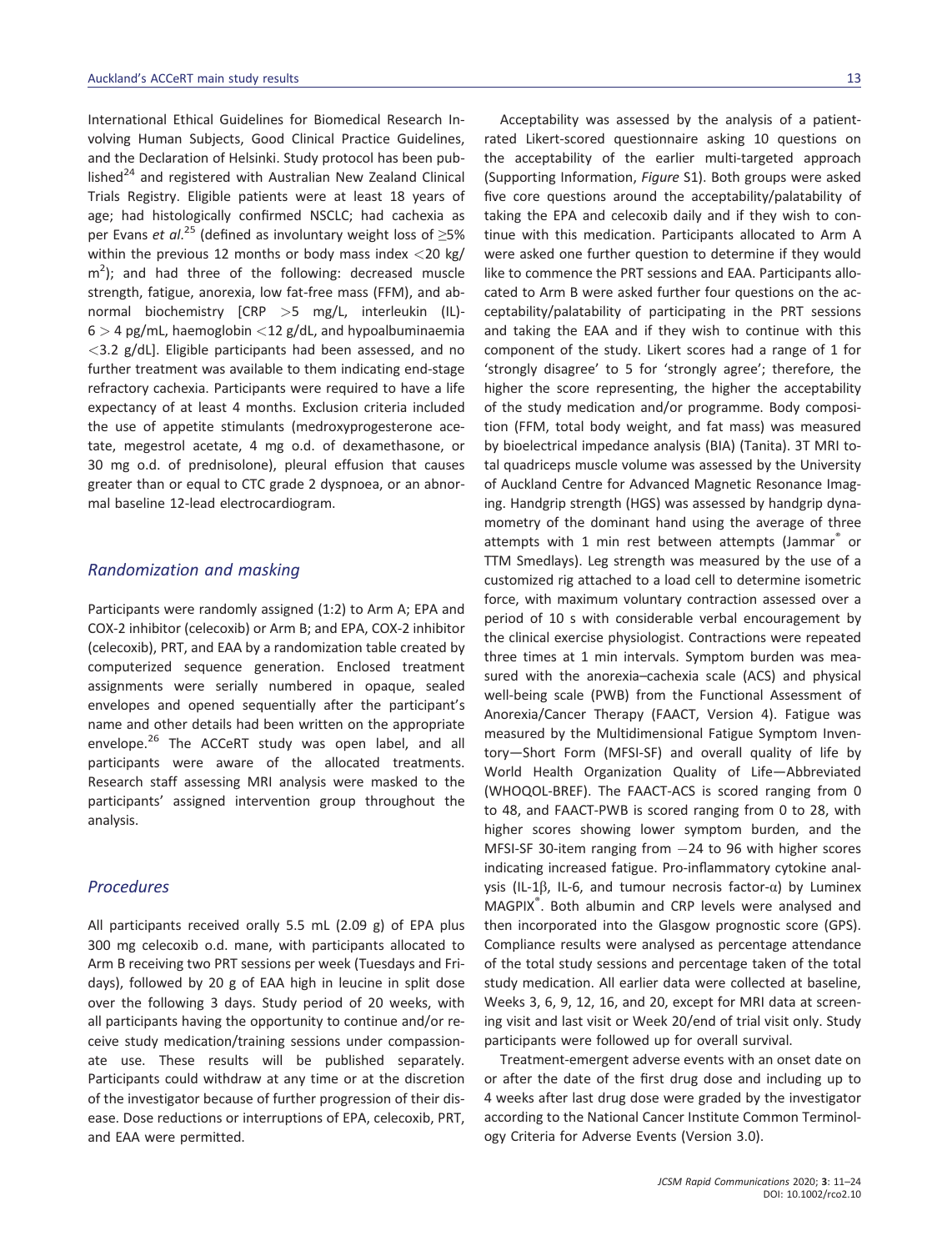International Ethical Guidelines for Biomedical Research Involving Human Subjects, Good Clinical Practice Guidelines, and the Declaration of Helsinki. Study protocol has been published $^{24}$  and registered with Australian New Zealand Clinical Trials Registry. Eligible patients were at least 18 years of age; had histologically confirmed NSCLC; had cachexia as per Evans et al.<sup>25</sup> (defined as involuntary weight loss of  $\geq$ 5% within the previous 12 months or body mass index  $\langle$ 20 kg/  $\text{m}^2$ ); and had three of the following: decreased muscle strength, fatigue, anorexia, low fat-free mass (FFM), and abnormal biochemistry [CRP >5 mg/L, interleukin (IL)-  $6 > 4$  pg/mL, haemoglobin <12 g/dL, and hypoalbuminaemia  $<$ 3.2 g/dL]. Eligible participants had been assessed, and no further treatment was available to them indicating end-stage refractory cachexia. Participants were required to have a life expectancy of at least 4 months. Exclusion criteria included the use of appetite stimulants (medroxyprogesterone acetate, megestrol acetate, 4 mg o.d. of dexamethasone, or 30 mg o.d. of prednisolone), pleural effusion that causes greater than or equal to CTC grade 2 dyspnoea, or an abnormal baseline 12-lead electrocardiogram.

### Randomization and masking

Participants were randomly assigned (1:2) to Arm A; EPA and COX-2 inhibitor (celecoxib) or Arm B; and EPA, COX-2 inhibitor (celecoxib), PRT, and EAA by a randomization table created by computerized sequence generation. Enclosed treatment assignments were serially numbered in opaque, sealed envelopes and opened sequentially after the participant's name and other details had been written on the appropriate envelope.<sup>26</sup> The ACCeRT study was open label, and all participants were aware of the allocated treatments. Research staff assessing MRI analysis were masked to the participants' assigned intervention group throughout the analysis.

### Procedures

All participants received orally 5.5 mL (2.09 g) of EPA plus 300 mg celecoxib o.d. mane, with participants allocated to Arm B receiving two PRT sessions per week (Tuesdays and Fridays), followed by 20 g of EAA high in leucine in split dose over the following 3 days. Study period of 20 weeks, with all participants having the opportunity to continue and/or receive study medication/training sessions under compassionate use. These results will be published separately. Participants could withdraw at any time or at the discretion of the investigator because of further progression of their disease. Dose reductions or interruptions of EPA, celecoxib, PRT, and EAA were permitted.

Acceptability was assessed by the analysis of a patientrated Likert-scored questionnaire asking 10 questions on the acceptability of the earlier multi-targeted approach (Supporting Information, Figure S1). Both groups were asked five core questions around the acceptability/palatability of taking the EPA and celecoxib daily and if they wish to continue with this medication. Participants allocated to Arm A were asked one further question to determine if they would like to commence the PRT sessions and EAA. Participants allocated to Arm B were asked further four questions on the acceptability/palatability of participating in the PRT sessions and taking the EAA and if they wish to continue with this component of the study. Likert scores had a range of 1 for 'strongly disagree' to 5 for 'strongly agree'; therefore, the higher the score representing, the higher the acceptability of the study medication and/or programme. Body composition (FFM, total body weight, and fat mass) was measured by bioelectrical impedance analysis (BIA) (Tanita). 3T MRI total quadriceps muscle volume was assessed by the University of Auckland Centre for Advanced Magnetic Resonance Imaging. Handgrip strength (HGS) was assessed by handgrip dynamometry of the dominant hand using the average of three attempts with 1 min rest between attempts (Jammar<sup>®</sup> or TTM Smedlays). Leg strength was measured by the use of a customized rig attached to a load cell to determine isometric force, with maximum voluntary contraction assessed over a period of 10 s with considerable verbal encouragement by the clinical exercise physiologist. Contractions were repeated three times at 1 min intervals. Symptom burden was measured with the anorexia–cachexia scale (ACS) and physical well-being scale (PWB) from the Functional Assessment of Anorexia/Cancer Therapy (FAACT, Version 4). Fatigue was measured by the Multidimensional Fatigue Symptom Inventory—Short Form (MFSI-SF) and overall quality of life by World Health Organization Quality of Life—Abbreviated (WHOQOL-BREF). The FAACT-ACS is scored ranging from 0 to 48, and FAACT-PWB is scored ranging from 0 to 28, with higher scores showing lower symptom burden, and the MFSI-SF 30-item ranging from 24 to 96 with higher scores indicating increased fatigue. Pro-inflammatory cytokine analysis (IL-1β, IL-6, and tumour necrosis factor- $\alpha$ ) by Luminex MAGPIX<sup>®</sup>. Both albumin and CRP levels were analysed and then incorporated into the Glasgow prognostic score (GPS). Compliance results were analysed as percentage attendance of the total study sessions and percentage taken of the total study medication. All earlier data were collected at baseline, Weeks 3, 6, 9, 12, 16, and 20, except for MRI data at screening visit and last visit or Week 20/end of trial visit only. Study participants were followed up for overall survival.

Treatment-emergent adverse events with an onset date on or after the date of the first drug dose and including up to 4 weeks after last drug dose were graded by the investigator according to the National Cancer Institute Common Terminology Criteria for Adverse Events (Version 3.0).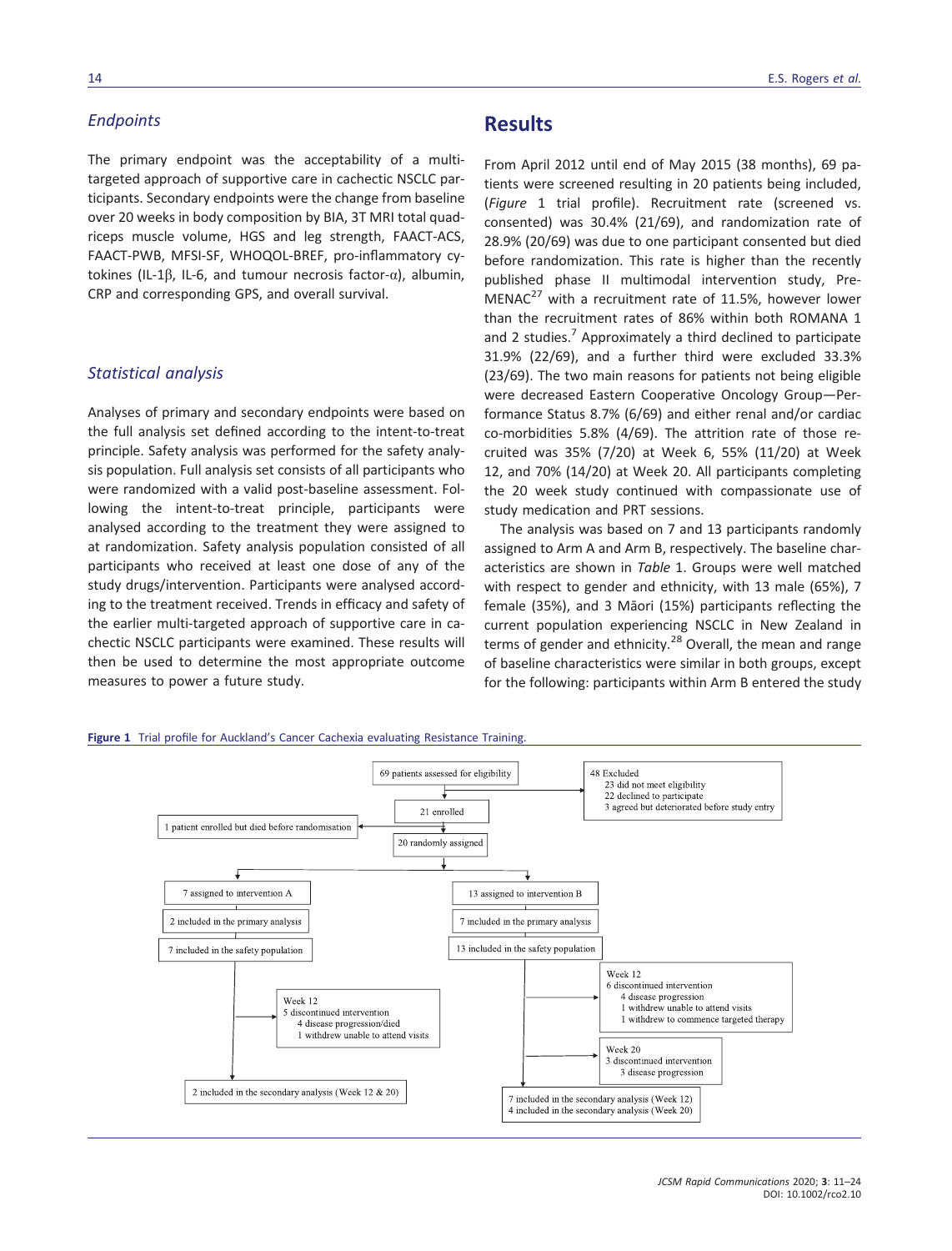### **Endpoints**

The primary endpoint was the acceptability of a multitargeted approach of supportive care in cachectic NSCLC participants. Secondary endpoints were the change from baseline over 20 weeks in body composition by BIA, 3T MRI total quadriceps muscle volume, HGS and leg strength, FAACT-ACS, FAACT-PWB, MFSI-SF, WHOQOL-BREF, pro-inflammatory cytokines (IL-1β, IL-6, and tumour necrosis factor-α), albumin, CRP and corresponding GPS, and overall survival.

### Statistical analysis

Analyses of primary and secondary endpoints were based on the full analysis set defined according to the intent-to-treat principle. Safety analysis was performed for the safety analysis population. Full analysis set consists of all participants who were randomized with a valid post-baseline assessment. Following the intent-to-treat principle, participants were analysed according to the treatment they were assigned to at randomization. Safety analysis population consisted of all participants who received at least one dose of any of the study drugs/intervention. Participants were analysed according to the treatment received. Trends in efficacy and safety of the earlier multi-targeted approach of supportive care in cachectic NSCLC participants were examined. These results will then be used to determine the most appropriate outcome measures to power a future study.

### 14 **E.S.** Rogers et al.

## **Results**

From April 2012 until end of May 2015 (38 months), 69 patients were screened resulting in 20 patients being included, (Figure 1 trial profile). Recruitment rate (screened vs. consented) was 30.4% (21/69), and randomization rate of 28.9% (20/69) was due to one participant consented but died before randomization. This rate is higher than the recently published phase II multimodal intervention study, Pre-MENAC<sup>27</sup> with a recruitment rate of 11.5%, however lower than the recruitment rates of 86% within both ROMANA 1 and 2 studies.<sup>7</sup> Approximately a third declined to participate 31.9% (22/69), and a further third were excluded 33.3% (23/69). The two main reasons for patients not being eligible were decreased Eastern Cooperative Oncology Group—Performance Status 8.7% (6/69) and either renal and/or cardiac co-morbidities 5.8% (4/69). The attrition rate of those recruited was 35% (7/20) at Week 6, 55% (11/20) at Week 12, and 70% (14/20) at Week 20. All participants completing the 20 week study continued with compassionate use of study medication and PRT sessions.

The analysis was based on 7 and 13 participants randomly assigned to Arm A and Arm B, respectively. The baseline characteristics are shown in Table 1. Groups were well matched with respect to gender and ethnicity, with 13 male (65%), 7 female (35%), and 3 Māori (15%) participants reflecting the current population experiencing NSCLC in New Zealand in terms of gender and ethnicity.<sup>28</sup> Overall, the mean and range of baseline characteristics were similar in both groups, except for the following: participants within Arm B entered the study



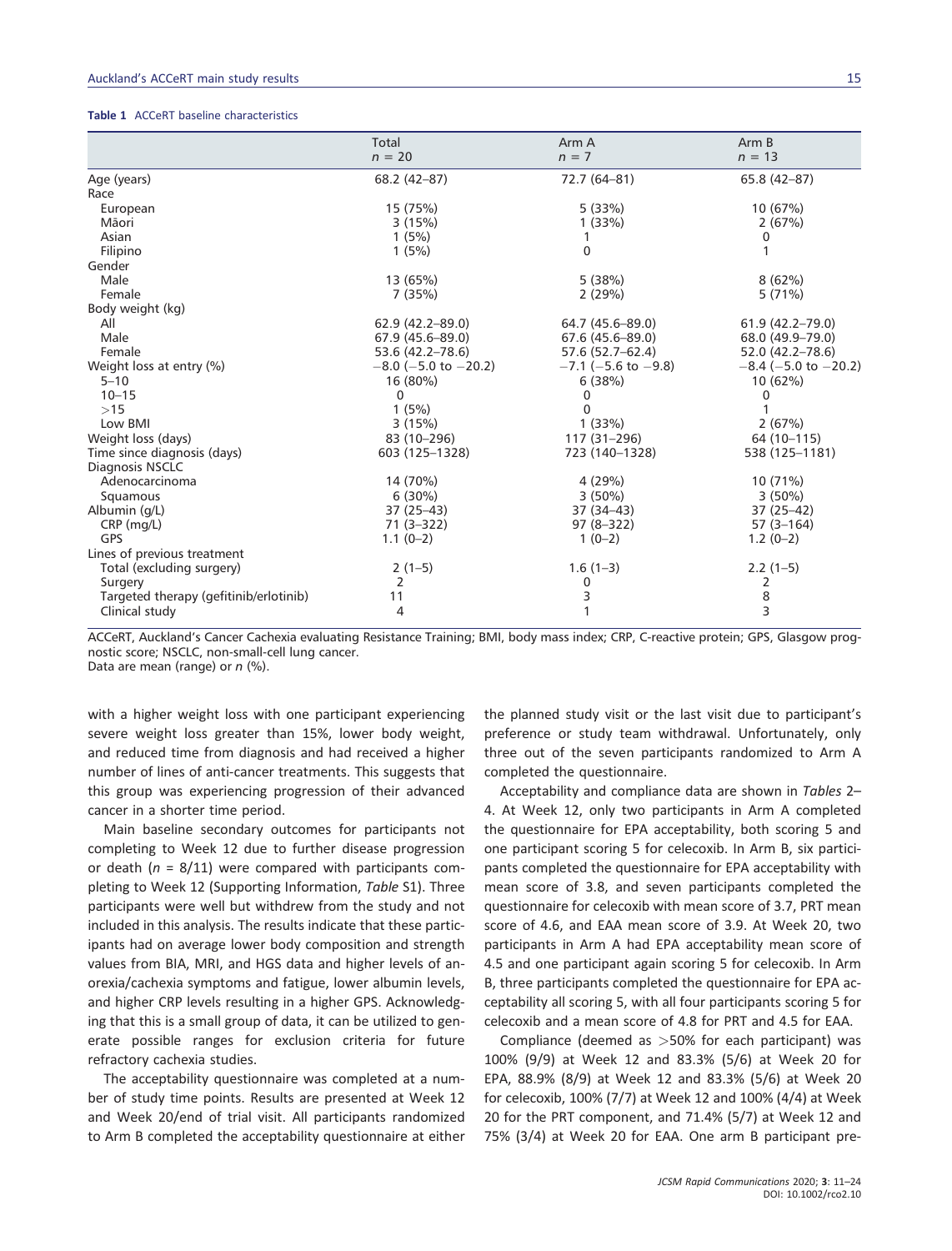#### Table 1 ACCeRT baseline characteristics

|                                        | Total                        | Arm A                 | Arm B                                 |
|----------------------------------------|------------------------------|-----------------------|---------------------------------------|
|                                        | $n = 20$                     | $n = 7$               | $n = 13$                              |
| Age (years)                            | $68.2(42-87)$                | 72.7 (64-81)          | 65.8 (42-87)                          |
| Race                                   |                              |                       |                                       |
| European                               | 15 (75%)                     | 5(33%)                | 10 (67%)                              |
| Māori                                  | 3(15%)                       | 1(33%)                | 2(67%)                                |
| Asian                                  | 1(5%)                        |                       | 0                                     |
| Filipino                               | 1(5%)                        | 0                     |                                       |
| Gender                                 |                              |                       |                                       |
| Male                                   | 13 (65%)                     | 5(38%)                | 8(62%)                                |
| Female                                 | 7(35%)                       | 2(29%)                | 5(71%)                                |
| Body weight (kg)                       |                              |                       |                                       |
| All                                    | 62.9 (42.2-89.0)             | 64.7 (45.6-89.0)      | 61.9 (42.2-79.0)                      |
| Male                                   | $67.9(45.6 - 89.0)$          | $67.6(45.6 - 89.0)$   | 68.0 (49.9-79.0)                      |
| Female                                 | 53.6 (42.2–78.6)             | 57.6 (52.7–62.4)      | 52.0 (42.2–78.6)                      |
| Weight loss at entry (%)               | $-8.0$ ( $-5.0$ to $-20.2$ ) | $-7.1$ (-5.6 to -9.8) | $-8.4$ ( $-5.0$ to $-20.2$ )          |
| $5 - 10$                               | 16 (80%)                     | 6(38%)                | 10 (62%)                              |
| $10 - 15$                              | $\Omega$                     | 0                     | 0                                     |
| >15                                    | 1(5%)                        | $\Omega$              |                                       |
| Low BMI                                | 3(15%)                       | 1(33%)                | 2(67%)                                |
| Weight loss (days)                     | 83 (10-296)                  | 117 (31-296)          | 64 (10-115)                           |
| Time since diagnosis (days)            | 603 (125-1328)               | 723 (140-1328)        | 538 (125-1181)                        |
| Diagnosis NSCLC                        |                              |                       |                                       |
| Adenocarcinoma                         | 14 (70%)                     | 4(29%)                | 10 (71%)                              |
| Squamous                               | 6(30%)                       | $3(50\%)$             | $3(50\%)$                             |
| Albumin (g/L)                          | $37(25-43)$                  | 37 (34-43)            | $37(25-42)$                           |
| $CRP$ (mg/L)                           | $71(3-322)$                  | $97(8-322)$           | $57(3 - 164)$                         |
| GPS                                    | $1.1(0-2)$                   | $1(0-2)$              | $1.2(0-2)$                            |
| Lines of previous treatment            |                              |                       |                                       |
| Total (excluding surgery)              | $2(1-5)$                     | $1.6(1-3)$            | $2.2(1-5)$                            |
| Surgery                                | 2                            | 0                     | 2                                     |
| Targeted therapy (gefitinib/erlotinib) | 11                           | 3                     | $\begin{array}{c} 8 \\ 3 \end{array}$ |
| Clinical study                         | 4                            | $\mathbf{1}$          |                                       |

ACCeRT, Auckland's Cancer Cachexia evaluating Resistance Training; BMI, body mass index; CRP, C-reactive protein; GPS, Glasgow prognostic score; NSCLC, non-small-cell lung cancer.

Data are mean (range) or  $n$  (%).

with a higher weight loss with one participant experiencing severe weight loss greater than 15%, lower body weight, and reduced time from diagnosis and had received a higher number of lines of anti-cancer treatments. This suggests that this group was experiencing progression of their advanced cancer in a shorter time period.

Main baseline secondary outcomes for participants not completing to Week 12 due to further disease progression or death ( $n = 8/11$ ) were compared with participants completing to Week 12 (Supporting Information, Table S1). Three participants were well but withdrew from the study and not included in this analysis. The results indicate that these participants had on average lower body composition and strength values from BIA, MRI, and HGS data and higher levels of anorexia/cachexia symptoms and fatigue, lower albumin levels, and higher CRP levels resulting in a higher GPS. Acknowledging that this is a small group of data, it can be utilized to generate possible ranges for exclusion criteria for future refractory cachexia studies.

The acceptability questionnaire was completed at a number of study time points. Results are presented at Week 12 and Week 20/end of trial visit. All participants randomized to Arm B completed the acceptability questionnaire at either the planned study visit or the last visit due to participant's preference or study team withdrawal. Unfortunately, only three out of the seven participants randomized to Arm A completed the questionnaire.

Acceptability and compliance data are shown in Tables 2– 4. At Week 12, only two participants in Arm A completed the questionnaire for EPA acceptability, both scoring 5 and one participant scoring 5 for celecoxib. In Arm B, six participants completed the questionnaire for EPA acceptability with mean score of 3.8, and seven participants completed the questionnaire for celecoxib with mean score of 3.7, PRT mean score of 4.6, and EAA mean score of 3.9. At Week 20, two participants in Arm A had EPA acceptability mean score of 4.5 and one participant again scoring 5 for celecoxib. In Arm B, three participants completed the questionnaire for EPA acceptability all scoring 5, with all four participants scoring 5 for celecoxib and a mean score of 4.8 for PRT and 4.5 for EAA.

Compliance (deemed as >50% for each participant) was 100% (9/9) at Week 12 and 83.3% (5/6) at Week 20 for EPA, 88.9% (8/9) at Week 12 and 83.3% (5/6) at Week 20 for celecoxib, 100% (7/7) at Week 12 and 100% (4/4) at Week 20 for the PRT component, and 71.4% (5/7) at Week 12 and 75% (3/4) at Week 20 for EAA. One arm B participant pre-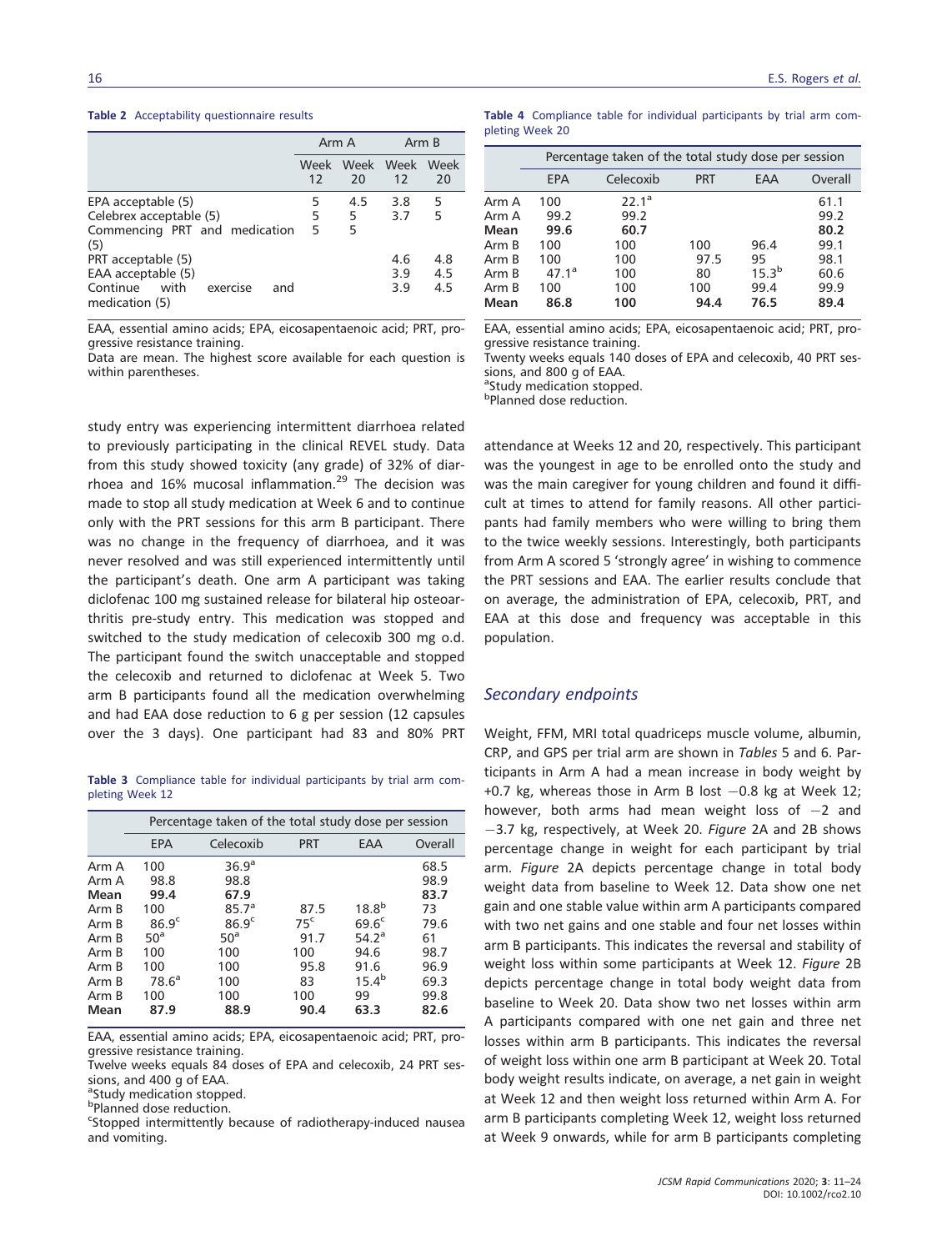#### Table 2 Acceptability questionnaire results

|                                                                                                   | Arm A             |                 | Arm B             |                   |
|---------------------------------------------------------------------------------------------------|-------------------|-----------------|-------------------|-------------------|
|                                                                                                   | <b>Week</b><br>12 | Week Week<br>20 | 12                | Week<br>20        |
| EPA acceptable (5)<br>Celebrex acceptable (5)<br>Commencing PRT and medication<br>(5)             | 5<br>5<br>5       | 4.5<br>5<br>5   | 3.8<br>3.7        | 5<br>5            |
| PRT acceptable (5)<br>EAA acceptable (5)<br>with<br>Continue<br>exercise<br>and<br>medication (5) |                   |                 | 4.6<br>3.9<br>3.9 | 4.8<br>4.5<br>4.5 |

EAA, essential amino acids; EPA, eicosapentaenoic acid; PRT, progressive resistance training.

Data are mean. The highest score available for each question is within parentheses.

study entry was experiencing intermittent diarrhoea related to previously participating in the clinical REVEL study. Data from this study showed toxicity (any grade) of 32% of diarrhoea and 16% mucosal inflammation.<sup>29</sup> The decision was made to stop all study medication at Week 6 and to continue only with the PRT sessions for this arm B participant. There was no change in the frequency of diarrhoea, and it was never resolved and was still experienced intermittently until the participant's death. One arm A participant was taking diclofenac 100 mg sustained release for bilateral hip osteoarthritis pre-study entry. This medication was stopped and switched to the study medication of celecoxib 300 mg o.d. The participant found the switch unacceptable and stopped the celecoxib and returned to diclofenac at Week 5. Two arm B participants found all the medication overwhelming and had EAA dose reduction to 6 g per session (12 capsules over the 3 days). One participant had 83 and 80% PRT

Table 3 Compliance table for individual participants by trial arm completing Week 12

|       | Percentage taken of the total study dose per session |                   |                 |                   |         |  |  |  |
|-------|------------------------------------------------------|-------------------|-----------------|-------------------|---------|--|--|--|
|       | EPA                                                  | Celecoxib         | <b>PRT</b>      | EAA               | Overall |  |  |  |
| Arm A | 100                                                  | 36.9 <sup>a</sup> |                 |                   | 68.5    |  |  |  |
| Arm A | 98.8                                                 | 98.8              |                 |                   | 98.9    |  |  |  |
| Mean  | 99.4                                                 | 67.9              |                 |                   | 83.7    |  |  |  |
| Arm B | 100                                                  | 85.7 <sup>a</sup> | 87.5            | 18.8 <sup>b</sup> | 73      |  |  |  |
| Arm B | 86.9 <sup>c</sup>                                    | 86.9 <sup>c</sup> | 75 <sup>c</sup> | 69.6 <sup>c</sup> | 79.6    |  |  |  |
| Arm B | 50 <sup>a</sup>                                      | 50 <sup>a</sup>   | 91.7            | 54.2 <sup>a</sup> | 61      |  |  |  |
| Arm B | 100                                                  | 100               | 100             | 94.6              | 98.7    |  |  |  |
| Arm B | 100                                                  | 100               | 95.8            | 91.6              | 96.9    |  |  |  |
| Arm B | $78.6^a$                                             | 100               | 83              | $15.4^{b}$        | 69.3    |  |  |  |
| Arm B | 100                                                  | 100               | 100             | 99                | 99.8    |  |  |  |
| Mean  | 87.9                                                 | 88.9              | 90.4            | 63.3              | 82.6    |  |  |  |

EAA, essential amino acids; EPA, eicosapentaenoic acid; PRT, progressive resistance training.

Twelve weeks equals 84 doses of EPA and celecoxib, 24 PRT sessions, and 400 g of EAA.

<sup>a</sup>Study medication stopped.

b Planned dose reduction.

<sup>c</sup>Stopped intermittently because of radiotherapy-induced nausea and vomiting.

|                 | Table 4 Compliance table for individual participants by trial arm com- |  |  |  |  |
|-----------------|------------------------------------------------------------------------|--|--|--|--|
| pleting Week 20 |                                                                        |  |  |  |  |

|       | Percentage taken of the total study dose per session |                   |            |            |         |  |  |  |
|-------|------------------------------------------------------|-------------------|------------|------------|---------|--|--|--|
|       | EPA                                                  | Celecoxib         | <b>PRT</b> | EAA        | Overall |  |  |  |
| Arm A | 100                                                  | 22.1 <sup>a</sup> |            |            | 61.1    |  |  |  |
| Arm A | 99.2                                                 | 99.2              |            |            | 99.2    |  |  |  |
| Mean  | 99.6                                                 | 60.7              |            |            | 80.2    |  |  |  |
| Arm B | 100                                                  | 100               | 100        | 96.4       | 99.1    |  |  |  |
| Arm B | 100                                                  | 100               | 97.5       | 95         | 98.1    |  |  |  |
| Arm B | 47.1 <sup>a</sup>                                    | 100               | 80         | $15.3^{b}$ | 60.6    |  |  |  |
| Arm B | 100                                                  | 100               | 100        | 99.4       | 99.9    |  |  |  |
| Mean  | 86.8                                                 | 100               | 94.4       | 76.5       | 89.4    |  |  |  |

EAA, essential amino acids; EPA, eicosapentaenoic acid; PRT, progressive resistance training.

Twenty weeks equals 140 doses of EPA and celecoxib, 40 PRT sessions, and 800 g of EAA.

<sup>a</sup>Study medication stopped.

b Planned dose reduction.

attendance at Weeks 12 and 20, respectively. This participant was the youngest in age to be enrolled onto the study and was the main caregiver for young children and found it difficult at times to attend for family reasons. All other participants had family members who were willing to bring them to the twice weekly sessions. Interestingly, both participants from Arm A scored 5 'strongly agree' in wishing to commence the PRT sessions and EAA. The earlier results conclude that on average, the administration of EPA, celecoxib, PRT, and EAA at this dose and frequency was acceptable in this population.

### Secondary endpoints

Weight, FFM, MRI total quadriceps muscle volume, albumin, CRP, and GPS per trial arm are shown in Tables 5 and 6. Participants in Arm A had a mean increase in body weight by +0.7 kg, whereas those in Arm B lost  $-0.8$  kg at Week 12; however, both arms had mean weight loss of  $-2$  and -3.7 kg, respectively, at Week 20. Figure 2A and 2B shows percentage change in weight for each participant by trial arm. Figure 2A depicts percentage change in total body weight data from baseline to Week 12. Data show one net gain and one stable value within arm A participants compared with two net gains and one stable and four net losses within arm B participants. This indicates the reversal and stability of weight loss within some participants at Week 12. Figure 2B depicts percentage change in total body weight data from baseline to Week 20. Data show two net losses within arm A participants compared with one net gain and three net losses within arm B participants. This indicates the reversal of weight loss within one arm B participant at Week 20. Total body weight results indicate, on average, a net gain in weight at Week 12 and then weight loss returned within Arm A. For arm B participants completing Week 12, weight loss returned at Week 9 onwards, while for arm B participants completing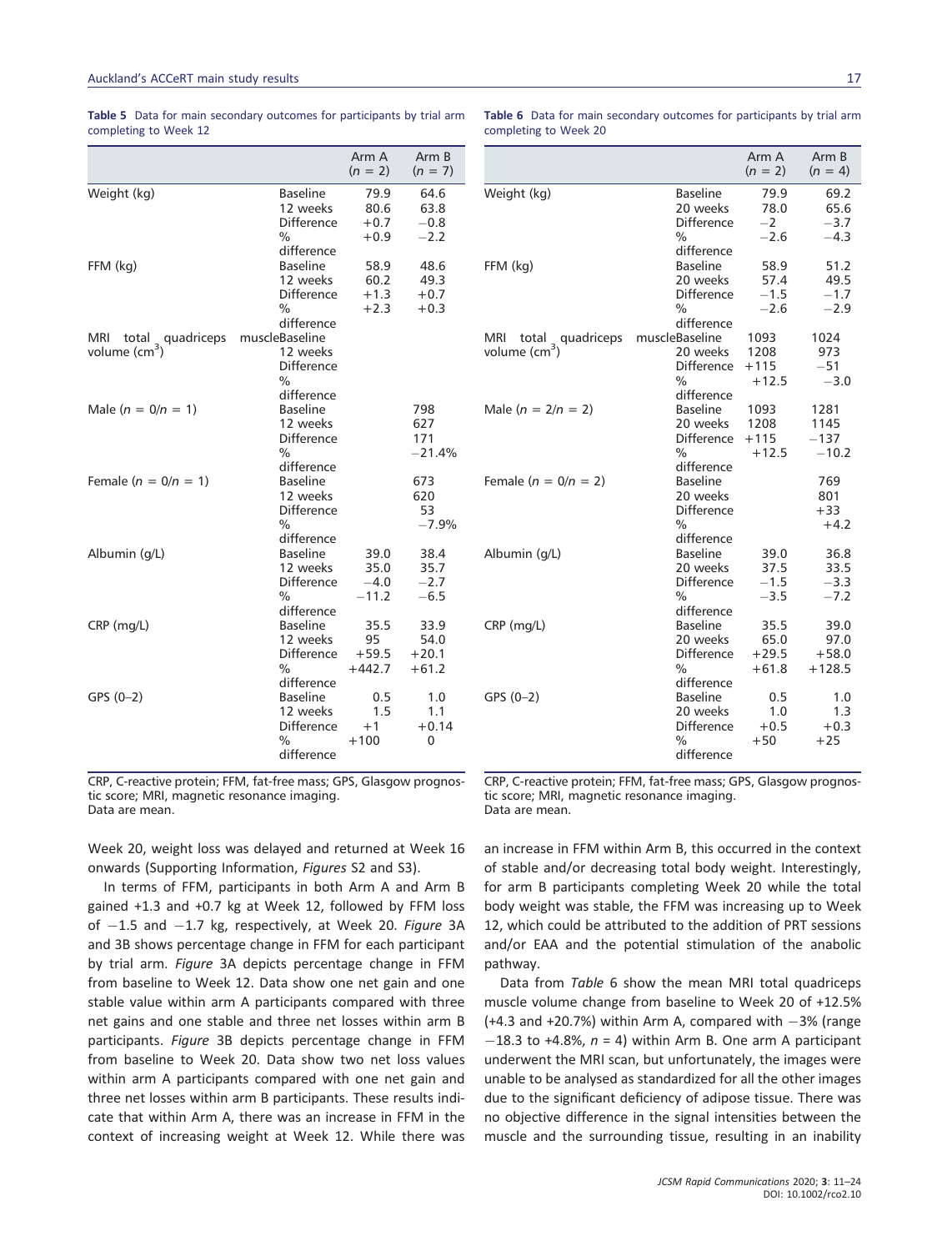|                           |                               | Arm A<br>$(n = 2)$ | Arm B<br>$(n = 7)$ |
|---------------------------|-------------------------------|--------------------|--------------------|
| Weight (kg)               | <b>Baseline</b>               | 79.9               | 64.6               |
|                           | 12 weeks                      | 80.6               | 63.8               |
|                           | <b>Difference</b>             | $+0.7$             | $-0.8$             |
|                           | $\frac{0}{0}$<br>difference   | $+0.9$             | $-2.2$             |
| FFM (kg)                  | <b>Baseline</b>               | 58.9               | 48.6               |
|                           | 12 weeks                      | 60.2               | 49.3               |
|                           | <b>Difference</b>             | $+1.3$             | $+0.7$             |
|                           | $\frac{0}{0}$                 | $+2.3$             | $+0.3$             |
|                           | difference                    |                    |                    |
| total quadriceps<br>MRI.  | muscleBaseline                |                    |                    |
| volume (cm <sup>3</sup> ) | 12 weeks                      |                    |                    |
|                           | Difference                    |                    |                    |
|                           | $\frac{0}{0}$                 |                    |                    |
|                           | difference                    |                    |                    |
| Male $(n = 0/n = 1)$      | <b>Baseline</b>               |                    | 798                |
|                           | 12 weeks                      |                    | 627                |
|                           | Difference                    |                    | 171                |
|                           | $\frac{0}{0}$                 |                    | $-21.4%$           |
|                           | difference                    |                    |                    |
| Female ( $n = 0/n = 1$ )  | <b>Baseline</b>               |                    | 673                |
|                           | 12 weeks                      |                    | 620                |
|                           | <b>Difference</b>             |                    | 53                 |
|                           | $\frac{0}{0}$                 |                    | $-7.9%$            |
|                           | difference<br><b>Baseline</b> |                    |                    |
| Albumin (g/L)             | 12 weeks                      | 39.0<br>35.0       | 38.4<br>35.7       |
|                           | <b>Difference</b>             | $-4.0$             | $-2.7$             |
|                           | $\frac{0}{0}$                 | $-11.2$            | $-6.5$             |
|                           | difference                    |                    |                    |
| $CRP$ (mg/L)              | <b>Baseline</b>               | 35.5               | 33.9               |
|                           | 12 weeks                      | 95                 | 54.0               |
|                           | <b>Difference</b>             | $+59.5$            | $+20.1$            |
|                           | $\frac{0}{0}$                 | $+442.7$           | $+61.2$            |
|                           | difference                    |                    |                    |
| $GPS (0-2)$               | <b>Baseline</b>               | 0.5                | 1.0                |
|                           | 12 weeks                      | 1.5                | 1.1                |
|                           | <b>Difference</b>             | $+1$               | $+0.14$            |
|                           | $\frac{0}{0}$                 | $+100$             | 0                  |
|                           | difference                    |                    |                    |

Table 5 Data for main secondary outcomes for participants by trial arm completing to Week 12

Table 6 Data for main secondary outcomes for participants by trial arm completing to Week 20

|                           |                               | Arm A<br>$(n = 2)$ | Arm B<br>$(n = 4)$ |
|---------------------------|-------------------------------|--------------------|--------------------|
| Weight (kg)               | <b>Baseline</b>               | 79.9               | 69.2               |
|                           | 20 weeks                      | 78.0               | 65.6               |
|                           | Difference                    | $-2$               | $-3.7$             |
|                           | %<br>difference               | $-2.6$             | $-4.3$             |
| FFM (kg)                  | <b>Baseline</b>               | 58.9               | 51.2               |
|                           | 20 weeks                      | 57.4               | 49.5               |
|                           | Difference                    | $-1.5$             | $-1.7$             |
|                           | %                             | $-2.6$             | $-2.9$             |
|                           | difference                    |                    |                    |
| MRI<br>total quadriceps   | muscleBaseline                | 1093               | 1024               |
| volume (cm <sup>3</sup> ) | 20 weeks                      | 1208               | 973                |
|                           | <b>Difference</b>             | $+115$             | $-51$              |
|                           | %                             | $+12.5$            | $-3.0$             |
|                           | difference                    |                    |                    |
| Male $(n = 2/n = 2)$      | <b>Baseline</b>               | 1093               | 1281               |
|                           | 20 weeks                      | 1208               | 1145               |
|                           | Difference                    | $+115$             | $-137$             |
|                           | $\%$                          | $+12.5$            | $-10.2$            |
|                           | difference                    |                    |                    |
| Female $(n = 0/n = 2)$    | <b>Baseline</b>               |                    | 769                |
|                           | 20 weeks<br><b>Difference</b> |                    | 801<br>$+33$       |
|                           | $\%$                          |                    | $+4.2$             |
|                           | difference                    |                    |                    |
| Albumin (g/L)             | <b>Baseline</b>               | 39.0               | 36.8               |
|                           | 20 weeks                      | 37.5               | 33.5               |
|                           | Difference                    | $-1.5$             | $-3.3$             |
|                           | $\frac{0}{0}$                 | $-3.5$             | $-7.2$             |
|                           | difference                    |                    |                    |
| CRP (mg/L)                | <b>Baseline</b>               | 35.5               | 39.0               |
|                           | 20 weeks                      | 65.0               | 97.0               |
|                           | Difference                    | $+29.5$            | $+58.0$            |
|                           | $\%$                          | $+61.8$            | $+128.5$           |
|                           | difference                    |                    |                    |
| $GPS (0-2)$               | <b>Baseline</b>               | 0.5                | 1.0                |
|                           | 20 weeks                      | 1.0                | 1.3                |
|                           | Difference                    | $+0.5$             | $+0.3$             |
|                           | $\frac{0}{0}$                 | $+50$              | $+25$              |
|                           | difference                    |                    |                    |

CRP, C-reactive protein; FFM, fat-free mass; GPS, Glasgow prognostic score; MRI, magnetic resonance imaging. Data are mean.

Week 20, weight loss was delayed and returned at Week 16 onwards (Supporting Information, Figures S2 and S3).

In terms of FFM, participants in both Arm A and Arm B gained +1.3 and +0.7 kg at Week 12, followed by FFM loss of  $-1.5$  and  $-1.7$  kg, respectively, at Week 20. Figure 3A and 3B shows percentage change in FFM for each participant by trial arm. Figure 3A depicts percentage change in FFM from baseline to Week 12. Data show one net gain and one stable value within arm A participants compared with three net gains and one stable and three net losses within arm B participants. Figure 3B depicts percentage change in FFM from baseline to Week 20. Data show two net loss values within arm A participants compared with one net gain and three net losses within arm B participants. These results indicate that within Arm A, there was an increase in FFM in the context of increasing weight at Week 12. While there was CRP, C-reactive protein; FFM, fat-free mass; GPS, Glasgow prognostic score; MRI, magnetic resonance imaging. Data are mean.

an increase in FFM within Arm B, this occurred in the context of stable and/or decreasing total body weight. Interestingly, for arm B participants completing Week 20 while the total body weight was stable, the FFM was increasing up to Week 12, which could be attributed to the addition of PRT sessions and/or EAA and the potential stimulation of the anabolic pathway.

Data from Table 6 show the mean MRI total quadriceps muscle volume change from baseline to Week 20 of +12.5%  $(+4.3$  and  $+20.7%$ ) within Arm A, compared with  $-3%$  (range  $-18.3$  to +4.8%,  $n = 4$ ) within Arm B. One arm A participant underwent the MRI scan, but unfortunately, the images were unable to be analysed as standardized for all the other images due to the significant deficiency of adipose tissue. There was no objective difference in the signal intensities between the muscle and the surrounding tissue, resulting in an inability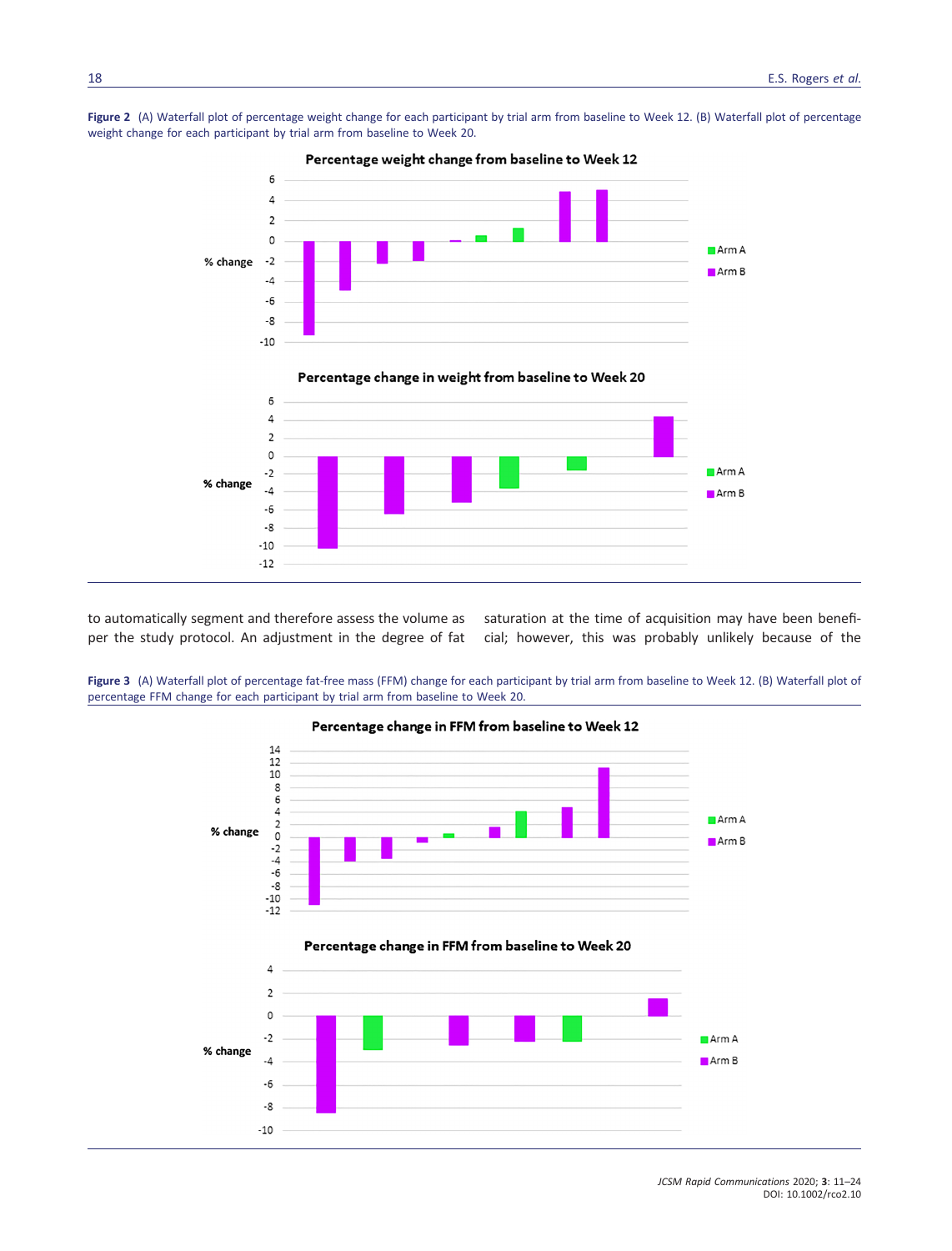



to automatically segment and therefore assess the volume as saturation at the time of acquisition may have been benefiper the study protocol. An adjustment in the degree of fat cial; however, this was probably unlikely because of the

Figure 3 (A) Waterfall plot of percentage fat-free mass (FFM) change for each participant by trial arm from baseline to Week 12. (B) Waterfall plot of percentage FFM change for each participant by trial arm from baseline to Week 20.



JCSM Rapid Communications 2020; 3: 11–24 DOI: 10.1002/rco2.10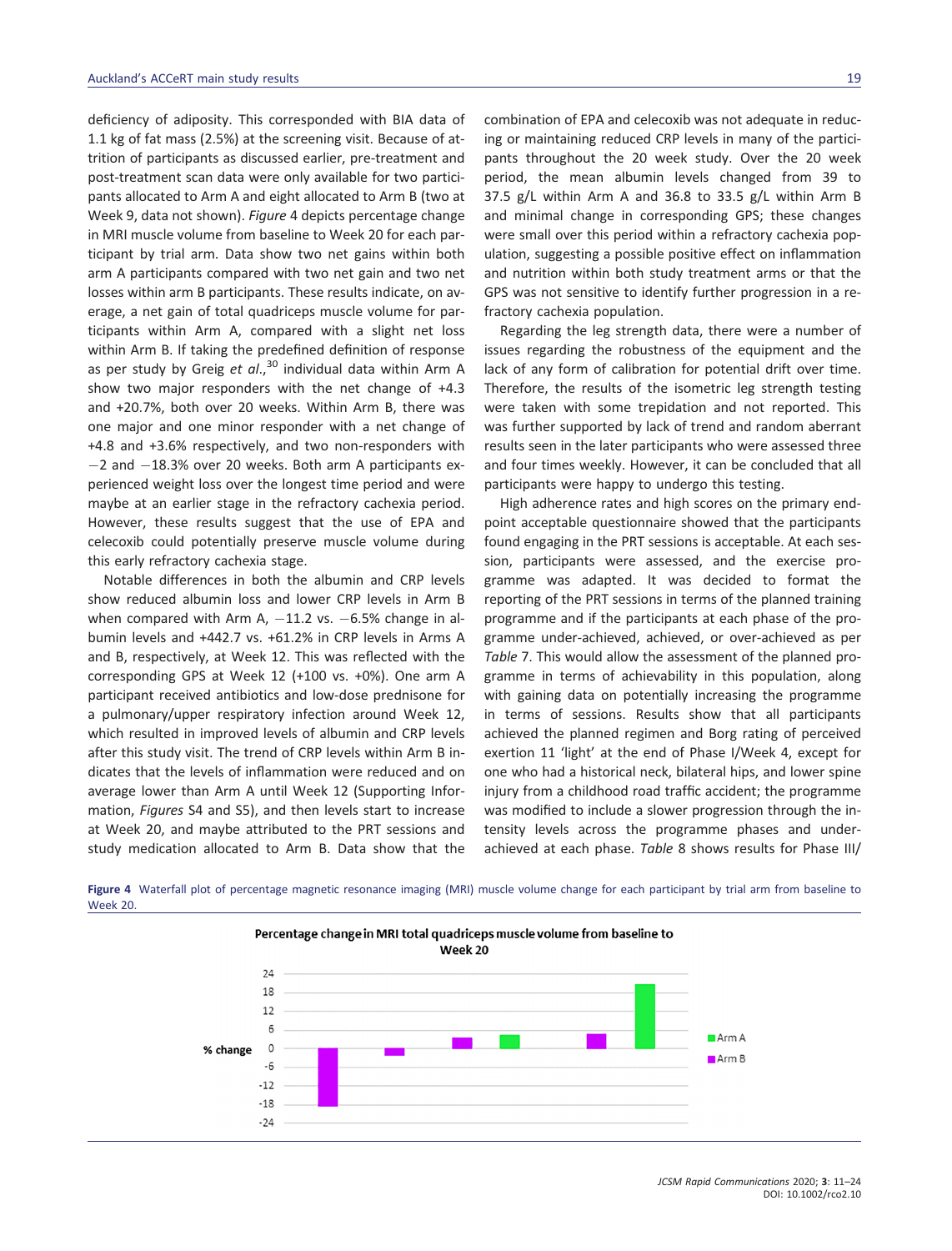deficiency of adiposity. This corresponded with BIA data of 1.1 kg of fat mass (2.5%) at the screening visit. Because of attrition of participants as discussed earlier, pre-treatment and post-treatment scan data were only available for two participants allocated to Arm A and eight allocated to Arm B (two at Week 9, data not shown). Figure 4 depicts percentage change in MRI muscle volume from baseline to Week 20 for each participant by trial arm. Data show two net gains within both arm A participants compared with two net gain and two net losses within arm B participants. These results indicate, on average, a net gain of total quadriceps muscle volume for participants within Arm A, compared with a slight net loss within Arm B. If taking the predefined definition of response as per study by Greig et  $al$ ,<sup>30</sup> individual data within Arm A show two major responders with the net change of +4.3 and +20.7%, both over 20 weeks. Within Arm B, there was one major and one minor responder with a net change of +4.8 and +3.6% respectively, and two non-responders with  $-2$  and  $-18.3%$  over 20 weeks. Both arm A participants experienced weight loss over the longest time period and were maybe at an earlier stage in the refractory cachexia period. However, these results suggest that the use of EPA and celecoxib could potentially preserve muscle volume during this early refractory cachexia stage.

Notable differences in both the albumin and CRP levels show reduced albumin loss and lower CRP levels in Arm B when compared with Arm A,  $-11.2$  vs.  $-6.5%$  change in albumin levels and +442.7 vs. +61.2% in CRP levels in Arms A and B, respectively, at Week 12. This was reflected with the corresponding GPS at Week 12 (+100 vs. +0%). One arm A participant received antibiotics and low-dose prednisone for a pulmonary/upper respiratory infection around Week 12, which resulted in improved levels of albumin and CRP levels after this study visit. The trend of CRP levels within Arm B indicates that the levels of inflammation were reduced and on average lower than Arm A until Week 12 (Supporting Information, Figures S4 and S5), and then levels start to increase at Week 20, and maybe attributed to the PRT sessions and study medication allocated to Arm B. Data show that the

combination of EPA and celecoxib was not adequate in reducing or maintaining reduced CRP levels in many of the participants throughout the 20 week study. Over the 20 week period, the mean albumin levels changed from 39 to 37.5 g/L within Arm A and 36.8 to 33.5 g/L within Arm B and minimal change in corresponding GPS; these changes were small over this period within a refractory cachexia population, suggesting a possible positive effect on inflammation and nutrition within both study treatment arms or that the GPS was not sensitive to identify further progression in a refractory cachexia population.

Regarding the leg strength data, there were a number of issues regarding the robustness of the equipment and the lack of any form of calibration for potential drift over time. Therefore, the results of the isometric leg strength testing were taken with some trepidation and not reported. This was further supported by lack of trend and random aberrant results seen in the later participants who were assessed three and four times weekly. However, it can be concluded that all participants were happy to undergo this testing.

High adherence rates and high scores on the primary endpoint acceptable questionnaire showed that the participants found engaging in the PRT sessions is acceptable. At each session, participants were assessed, and the exercise programme was adapted. It was decided to format the reporting of the PRT sessions in terms of the planned training programme and if the participants at each phase of the programme under-achieved, achieved, or over-achieved as per Table 7. This would allow the assessment of the planned programme in terms of achievability in this population, along with gaining data on potentially increasing the programme in terms of sessions. Results show that all participants achieved the planned regimen and Borg rating of perceived exertion 11 'light' at the end of Phase I/Week 4, except for one who had a historical neck, bilateral hips, and lower spine injury from a childhood road traffic accident; the programme was modified to include a slower progression through the intensity levels across the programme phases and underachieved at each phase. Table 8 shows results for Phase III/



Figure 4 Waterfall plot of percentage magnetic resonance imaging (MRI) muscle volume change for each participant by trial arm from baseline to Week 20.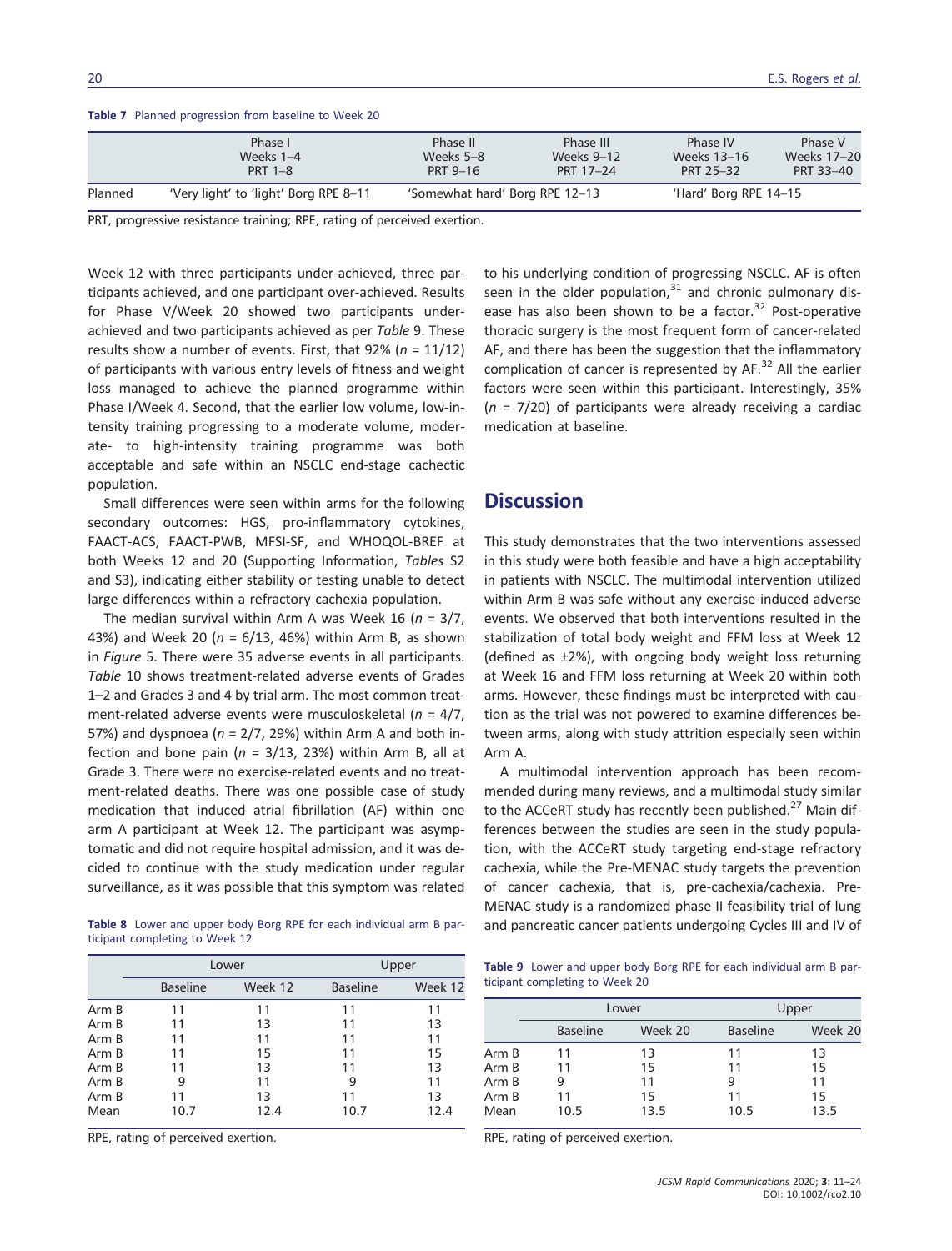Table 7 Planned progression from baseline to Week 20

|         | Phase I                               | Phase II                       | Phase III        | Phase IV              | Phase V     |
|---------|---------------------------------------|--------------------------------|------------------|-----------------------|-------------|
|         | Weeks 1-4                             | Weeks 5-8                      | Weeks 9-12       | Weeks 13–16           | Weeks 17-20 |
|         | <b>PRT 1-8</b>                        | PRT 9-16                       | <b>PRT 17-24</b> | PRT 25-32             | PRT 33-40   |
| Planned | 'Very light' to 'light' Borg RPE 8-11 | 'Somewhat hard' Borg RPE 12-13 |                  | 'Hard' Borg RPE 14-15 |             |

PRT, progressive resistance training; RPE, rating of perceived exertion.

Week 12 with three participants under-achieved, three participants achieved, and one participant over-achieved. Results for Phase V/Week 20 showed two participants underachieved and two participants achieved as per Table 9. These results show a number of events. First, that  $92\%$  (n =  $11/12$ ) of participants with various entry levels of fitness and weight loss managed to achieve the planned programme within Phase I/Week 4. Second, that the earlier low volume, low-intensity training progressing to a moderate volume, moderate- to high-intensity training programme was both acceptable and safe within an NSCLC end-stage cachectic population.

Small differences were seen within arms for the following secondary outcomes: HGS, pro-inflammatory cytokines, FAACT-ACS, FAACT-PWB, MFSI-SF, and WHOQOL-BREF at both Weeks 12 and 20 (Supporting Information, Tables S2 and S3), indicating either stability or testing unable to detect large differences within a refractory cachexia population.

The median survival within Arm A was Week 16 ( $n = 3/7$ , 43%) and Week 20 ( $n = 6/13$ , 46%) within Arm B, as shown in Figure 5. There were 35 adverse events in all participants. Table 10 shows treatment-related adverse events of Grades 1–2 and Grades 3 and 4 by trial arm. The most common treatment-related adverse events were musculoskeletal ( $n = 4/7$ , 57%) and dyspnoea ( $n = 2/7$ , 29%) within Arm A and both infection and bone pain ( $n = 3/13$ , 23%) within Arm B, all at Grade 3. There were no exercise-related events and no treatment-related deaths. There was one possible case of study medication that induced atrial fibrillation (AF) within one arm A participant at Week 12. The participant was asymptomatic and did not require hospital admission, and it was decided to continue with the study medication under regular surveillance, as it was possible that this symptom was related

|                                |  |  |  |  | Table 8 Lower and upper body Borg RPE for each individual arm B par- |  |  |
|--------------------------------|--|--|--|--|----------------------------------------------------------------------|--|--|
| ticipant completing to Week 12 |  |  |  |  |                                                                      |  |  |

|       |                 | Lower   |                 | Upper   |
|-------|-----------------|---------|-----------------|---------|
|       | <b>Baseline</b> | Week 12 | <b>Baseline</b> | Week 12 |
| Arm B | 11              | 11      | 11              | 11      |
| Arm B | 11              | 13      | 11              | 13      |
| Arm B | 11              | 11      | 11              | 11      |
| Arm B | 11              | 15      | 11              | 15      |
| Arm B | 11              | 13      | 11              | 13      |
| Arm B | 9               | 11      | 9               | 11      |
| Arm B | 11              | 13      | 11              | 13      |
| Mean  | 10.7            | 12.4    | 10.7            | 12.4    |

RPE, rating of perceived exertion.

to his underlying condition of progressing NSCLC. AF is often seen in the older population, $31$  and chronic pulmonary disease has also been shown to be a factor. $32$  Post-operative thoracic surgery is the most frequent form of cancer-related AF, and there has been the suggestion that the inflammatory complication of cancer is represented by  $AF<sup>32</sup>$  All the earlier factors were seen within this participant. Interestingly, 35%  $(n = 7/20)$  of participants were already receiving a cardiac medication at baseline.

### **Discussion**

This study demonstrates that the two interventions assessed in this study were both feasible and have a high acceptability in patients with NSCLC. The multimodal intervention utilized within Arm B was safe without any exercise-induced adverse events. We observed that both interventions resulted in the stabilization of total body weight and FFM loss at Week 12 (defined as ±2%), with ongoing body weight loss returning at Week 16 and FFM loss returning at Week 20 within both arms. However, these findings must be interpreted with caution as the trial was not powered to examine differences between arms, along with study attrition especially seen within Arm A.

A multimodal intervention approach has been recommended during many reviews, and a multimodal study similar to the ACCeRT study has recently been published.<sup>27</sup> Main differences between the studies are seen in the study population, with the ACCeRT study targeting end-stage refractory cachexia, while the Pre-MENAC study targets the prevention of cancer cachexia, that is, pre-cachexia/cachexia. Pre-MENAC study is a randomized phase II feasibility trial of lung and pancreatic cancer patients undergoing Cycles III and IV of

Table 9 Lower and upper body Borg RPE for each individual arm B participant completing to Week 20

|       |                 | Lower   |                 | Upper   |
|-------|-----------------|---------|-----------------|---------|
|       | <b>Baseline</b> | Week 20 | <b>Baseline</b> | Week 20 |
| Arm B | 11              | 13      | 11              | 13      |
| Arm B | 11              | 15      | 11              | 15      |
| Arm B | 9               | 11      | 9               | 11      |
| Arm B | 11              | 15      | 11              | 15      |
| Mean  | 10.5            | 13.5    | 10.5            | 13.5    |
|       |                 |         |                 |         |

RPE, rating of perceived exertion.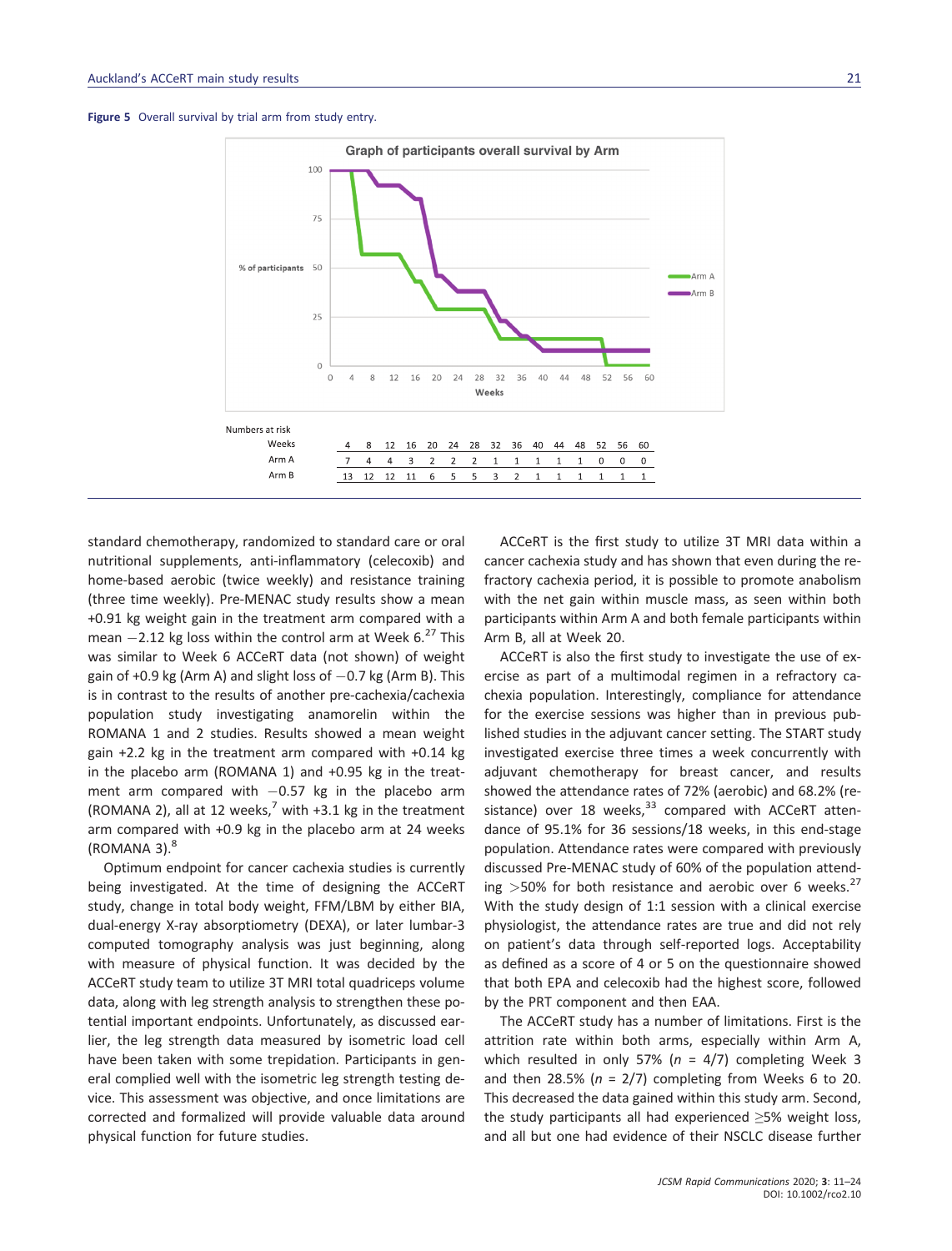



standard chemotherapy, randomized to standard care or oral nutritional supplements, anti-inflammatory (celecoxib) and home-based aerobic (twice weekly) and resistance training (three time weekly). Pre-MENAC study results show a mean +0.91 kg weight gain in the treatment arm compared with a mean  $-2.12$  kg loss within the control arm at Week 6.<sup>27</sup> This was similar to Week 6 ACCeRT data (not shown) of weight gain of  $+0.9$  kg (Arm A) and slight loss of  $-0.7$  kg (Arm B). This is in contrast to the results of another pre-cachexia/cachexia population study investigating anamorelin within the ROMANA 1 and 2 studies. Results showed a mean weight gain +2.2 kg in the treatment arm compared with +0.14 kg in the placebo arm (ROMANA 1) and +0.95 kg in the treatment arm compared with  $-0.57$  kg in the placebo arm (ROMANA 2), all at 12 weeks,<sup>7</sup> with +3.1 kg in the treatment arm compared with +0.9 kg in the placebo arm at 24 weeks  $(ROMANA 3).<sup>8</sup>$ 

Optimum endpoint for cancer cachexia studies is currently being investigated. At the time of designing the ACCeRT study, change in total body weight, FFM/LBM by either BIA, dual-energy X-ray absorptiometry (DEXA), or later lumbar-3 computed tomography analysis was just beginning, along with measure of physical function. It was decided by the ACCeRT study team to utilize 3T MRI total quadriceps volume data, along with leg strength analysis to strengthen these potential important endpoints. Unfortunately, as discussed earlier, the leg strength data measured by isometric load cell have been taken with some trepidation. Participants in general complied well with the isometric leg strength testing device. This assessment was objective, and once limitations are corrected and formalized will provide valuable data around physical function for future studies.

ACCeRT is the first study to utilize 3T MRI data within a cancer cachexia study and has shown that even during the refractory cachexia period, it is possible to promote anabolism with the net gain within muscle mass, as seen within both participants within Arm A and both female participants within Arm B, all at Week 20.

ACCeRT is also the first study to investigate the use of exercise as part of a multimodal regimen in a refractory cachexia population. Interestingly, compliance for attendance for the exercise sessions was higher than in previous published studies in the adjuvant cancer setting. The START study investigated exercise three times a week concurrently with adjuvant chemotherapy for breast cancer, and results showed the attendance rates of 72% (aerobic) and 68.2% (resistance) over 18 weeks, $33$  compared with ACCeRT attendance of 95.1% for 36 sessions/18 weeks, in this end-stage population. Attendance rates were compared with previously discussed Pre-MENAC study of 60% of the population attending  $>50\%$  for both resistance and aerobic over 6 weeks.<sup>27</sup> With the study design of 1:1 session with a clinical exercise physiologist, the attendance rates are true and did not rely on patient's data through self-reported logs. Acceptability as defined as a score of 4 or 5 on the questionnaire showed that both EPA and celecoxib had the highest score, followed by the PRT component and then EAA.

The ACCeRT study has a number of limitations. First is the attrition rate within both arms, especially within Arm A, which resulted in only 57% ( $n = 4/7$ ) completing Week 3 and then 28.5% ( $n = 2/7$ ) completing from Weeks 6 to 20. This decreased the data gained within this study arm. Second, the study participants all had experienced ≥5% weight loss, and all but one had evidence of their NSCLC disease further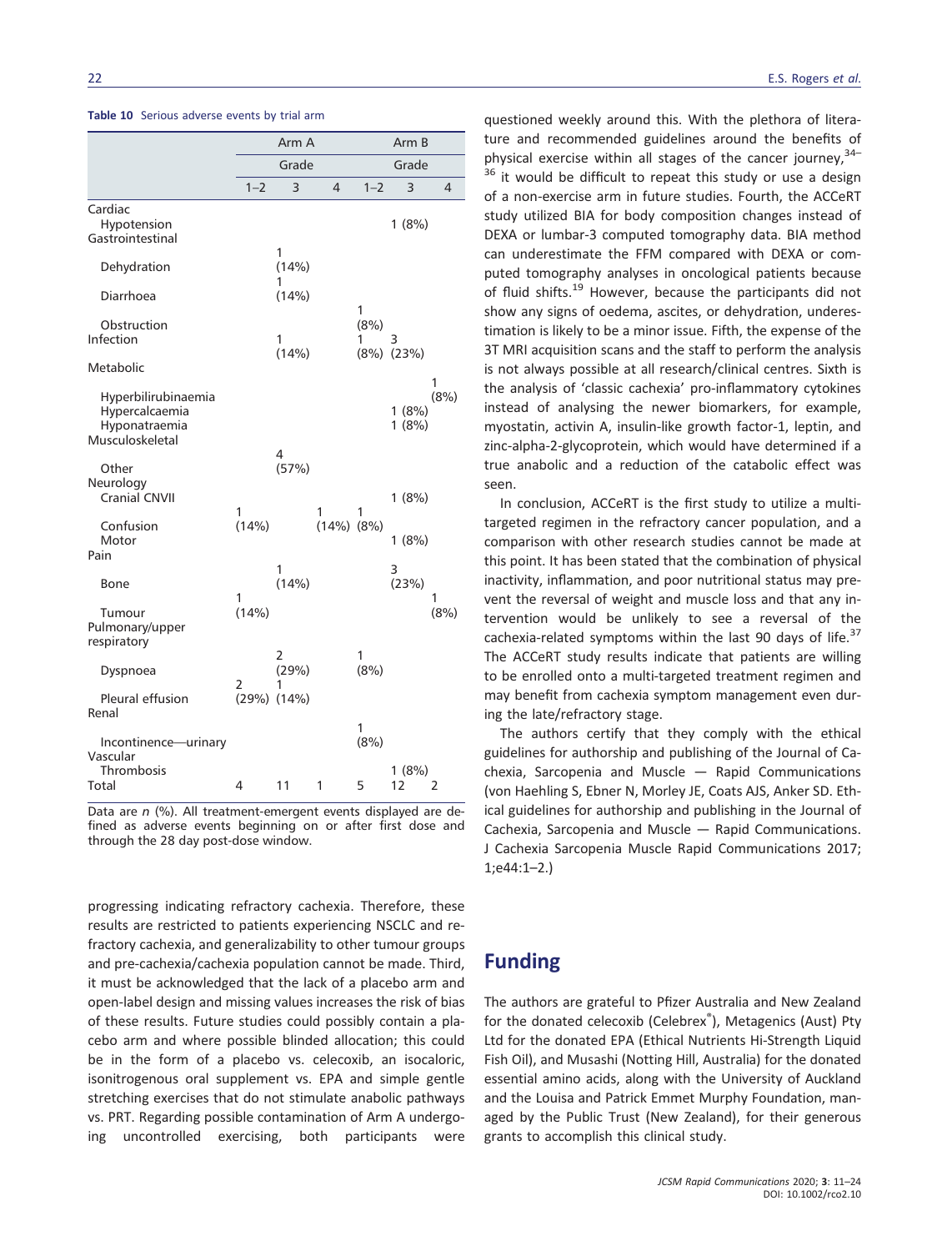|                                                                           |            | Arm A           |                     |           | Arm B           |                |
|---------------------------------------------------------------------------|------------|-----------------|---------------------|-----------|-----------------|----------------|
|                                                                           |            |                 |                     |           |                 |                |
|                                                                           |            | Grade           |                     |           | Grade           |                |
|                                                                           | $1 - 2$    | 3               | $\overline{4}$      | $1 - 2$   | 3               | $\overline{4}$ |
| Cardiac<br>Hypotension<br>Gastrointestinal                                |            |                 |                     |           | 1(8%)           |                |
| Dehydration                                                               |            | 1<br>(14%)<br>1 |                     |           |                 |                |
| Diarrhoea                                                                 |            | (14%)           |                     | 1         |                 |                |
| Obstruction<br>Infection                                                  |            | 1<br>(14%)      |                     | (8%)<br>1 | 3<br>(8%) (23%) |                |
| Metabolic                                                                 |            |                 |                     |           |                 | 1              |
| Hyperbilirubinaemia<br>Hypercalcaemia<br>Hyponatraemia<br>Musculoskeletal |            |                 |                     |           | 1(8%)<br>1(8%)  | (8% )          |
| Other<br>Neurology<br><b>Cranial CNVII</b>                                |            | 4<br>(57%)      |                     |           | 1(8%)           |                |
| Confusion<br>Motor<br>Pain                                                | 1<br>(14%) |                 | 1<br>$(14\%) (8\%)$ | 1         | 1(8%)           |                |
| Bone                                                                      | 1          | 1<br>(14%)      |                     |           | 3<br>(23%)      | 1              |
| Tumour<br>Pulmonary/upper<br>respiratory                                  | (14% )     |                 |                     |           |                 | (8%)           |
| Dyspnoea                                                                  | 2          | 2<br>(29%)<br>1 |                     | 1<br>(8%) |                 |                |
| Pleural effusion<br>Renal                                                 | (29%)      | (14%)           |                     |           |                 |                |
| Incontinence-urinary<br>Vascular<br>Thrombosis                            |            |                 |                     | 1<br>(8%) | 1(8%)           |                |
| Total                                                                     | 4          | 11              | 1                   | 5         | 12              | $\overline{2}$ |

| Table 10 Serious adverse events by trial arm |  |  |  |  |  |
|----------------------------------------------|--|--|--|--|--|
|----------------------------------------------|--|--|--|--|--|

Data are  $n$  (%). All treatment-emergent events displayed are defined as adverse events beginning on or after first dose and through the 28 day post-dose window.

progressing indicating refractory cachexia. Therefore, these results are restricted to patients experiencing NSCLC and refractory cachexia, and generalizability to other tumour groups and pre-cachexia/cachexia population cannot be made. Third, it must be acknowledged that the lack of a placebo arm and open-label design and missing values increases the risk of bias of these results. Future studies could possibly contain a placebo arm and where possible blinded allocation; this could be in the form of a placebo vs. celecoxib, an isocaloric, isonitrogenous oral supplement vs. EPA and simple gentle stretching exercises that do not stimulate anabolic pathways vs. PRT. Regarding possible contamination of Arm A undergoing uncontrolled exercising, both participants were

questioned weekly around this. With the plethora of literature and recommended guidelines around the benefits of physical exercise within all stages of the cancer journey,  $34-$ <sup>36</sup> it would be difficult to repeat this study or use a design of a non-exercise arm in future studies. Fourth, the ACCeRT study utilized BIA for body composition changes instead of DEXA or lumbar-3 computed tomography data. BIA method can underestimate the FFM compared with DEXA or computed tomography analyses in oncological patients because of fluid shifts.<sup>19</sup> However, because the participants did not show any signs of oedema, ascites, or dehydration, underestimation is likely to be a minor issue. Fifth, the expense of the 3T MRI acquisition scans and the staff to perform the analysis is not always possible at all research/clinical centres. Sixth is the analysis of 'classic cachexia' pro-inflammatory cytokines instead of analysing the newer biomarkers, for example, myostatin, activin A, insulin-like growth factor-1, leptin, and zinc-alpha-2-glycoprotein, which would have determined if a true anabolic and a reduction of the catabolic effect was seen.

In conclusion, ACCeRT is the first study to utilize a multitargeted regimen in the refractory cancer population, and a comparison with other research studies cannot be made at this point. It has been stated that the combination of physical inactivity, inflammation, and poor nutritional status may prevent the reversal of weight and muscle loss and that any intervention would be unlikely to see a reversal of the cachexia-related symptoms within the last 90 days of life. $37$ The ACCeRT study results indicate that patients are willing to be enrolled onto a multi-targeted treatment regimen and may benefit from cachexia symptom management even during the late/refractory stage.

The authors certify that they comply with the ethical guidelines for authorship and publishing of the Journal of Cachexia, Sarcopenia and Muscle — Rapid Communications (von Haehling S, Ebner N, Morley JE, Coats AJS, Anker SD. Ethical guidelines for authorship and publishing in the Journal of Cachexia, Sarcopenia and Muscle — Rapid Communications. J Cachexia Sarcopenia Muscle Rapid Communications 2017; 1;e44:1–2.)

### Funding

The authors are grateful to Pfizer Australia and New Zealand for the donated celecoxib (Celebrex®), Metagenics (Aust) Pty Ltd for the donated EPA (Ethical Nutrients Hi-Strength Liquid Fish Oil), and Musashi (Notting Hill, Australia) for the donated essential amino acids, along with the University of Auckland and the Louisa and Patrick Emmet Murphy Foundation, managed by the Public Trust (New Zealand), for their generous grants to accomplish this clinical study.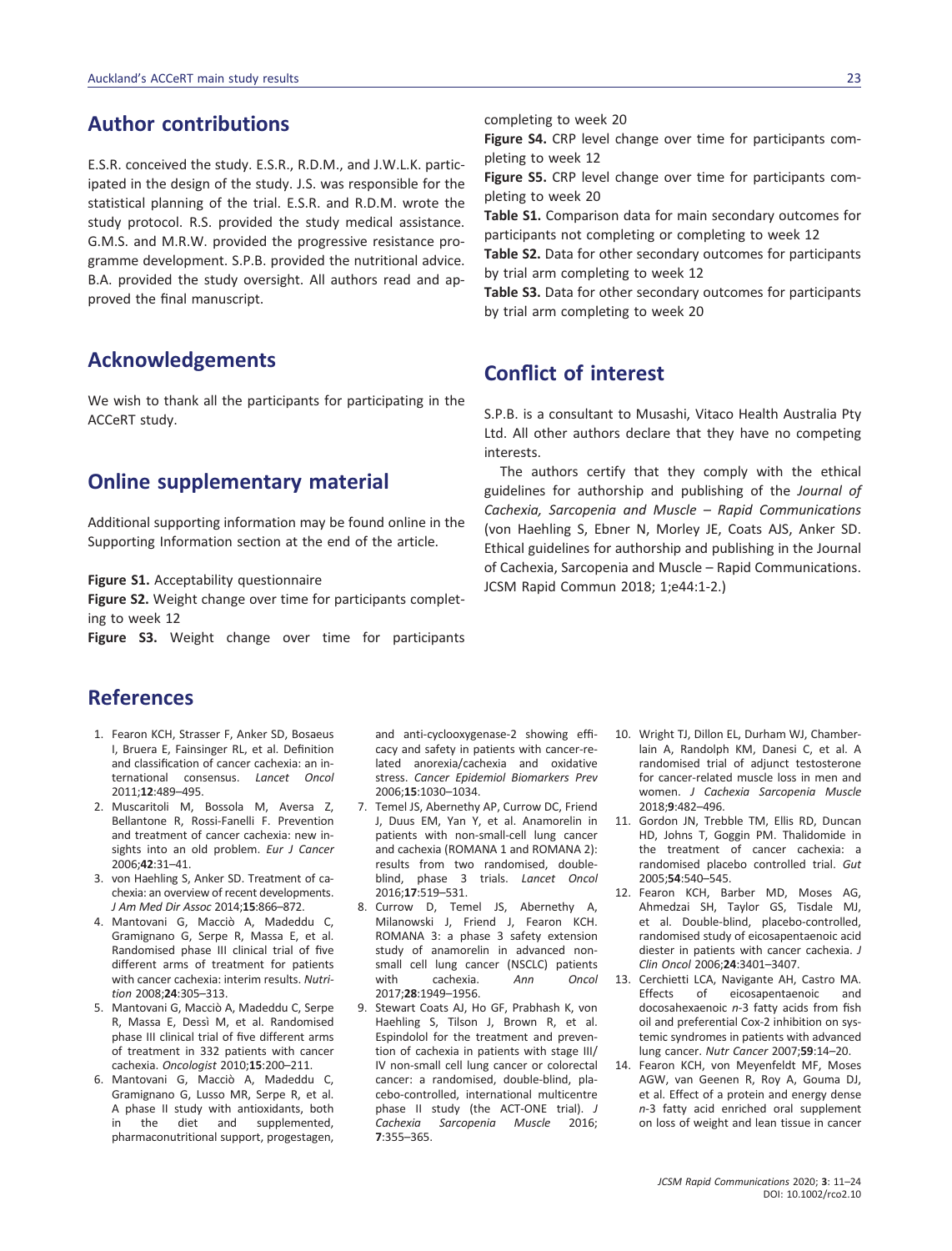# Author contributions

E.S.R. conceived the study. E.S.R., R.D.M., and J.W.L.K. participated in the design of the study. J.S. was responsible for the statistical planning of the trial. E.S.R. and R.D.M. wrote the study protocol. R.S. provided the study medical assistance. G.M.S. and M.R.W. provided the progressive resistance programme development. S.P.B. provided the nutritional advice. B.A. provided the study oversight. All authors read and approved the final manuscript.

# Acknowledgements

We wish to thank all the participants for participating in the ACCeRT study.

### Online supplementary material

Additional supporting information may be found online in the Supporting Information section at the end of the article.

Figure S1. Acceptability questionnaire

Figure S2. Weight change over time for participants completing to week 12

Figure S3. Weight change over time for participants

# References

- 1. Fearon KCH, Strasser F, Anker SD, Bosaeus I, Bruera E, Fainsinger RL, et al. Definition and classification of cancer cachexia: an international consensus. Lancet Oncol 2011;12:489–495.
- 2. Muscaritoli M, Bossola M, Aversa Z, Bellantone R, Rossi-Fanelli F. Prevention and treatment of cancer cachexia: new insights into an old problem. Eur J Cancer 2006;42:31–41.
- 3. von Haehling S, Anker SD. Treatment of cachexia: an overview of recent developments. J Am Med Dir Assoc 2014;15:866–872.
- 4. Mantovani G, Macciò A, Madeddu C, Gramignano G, Serpe R, Massa E, et al. Randomised phase III clinical trial of five different arms of treatment for patients with cancer cachexia: interim results. Nutrition 2008;24:305–313.
- 5. Mantovani G, Macciò A, Madeddu C, Serpe R, Massa E, Dessì M, et al. Randomised phase III clinical trial of five different arms of treatment in 332 patients with cancer cachexia. Oncologist 2010;15:200–211.
- 6. Mantovani G, Macciò A, Madeddu C, Gramignano G, Lusso MR, Serpe R, et al. A phase II study with antioxidants, both in the diet and supplemented, pharmaconutritional support, progestagen,

and anti-cyclooxygenase-2 showing efficacy and safety in patients with cancer-related anorexia/cachexia and oxidative stress. Cancer Epidemiol Biomarkers Prev 2006;15:1030–1034.

- 7. Temel JS, Abernethy AP, Currow DC, Friend J, Duus EM, Yan Y, et al. Anamorelin in patients with non-small-cell lung cancer and cachexia (ROMANA 1 and ROMANA 2): results from two randomised, doubleblind, phase 3 trials. Lancet Oncol 2016;17:519–531.
- 8. Currow D, Temel JS, Abernethy A, Milanowski J, Friend J, Fearon KCH. ROMANA 3: a phase 3 safety extension study of anamorelin in advanced nonsmall cell lung cancer (NSCLC) patients with cachexia. Ann Oncol 2017;28:1949–1956.
- 9. Stewart Coats AJ, Ho GF, Prabhash K, von Haehling S, Tilson J, Brown R, et al. Espindolol for the treatment and prevention of cachexia in patients with stage III/ IV non-small cell lung cancer or colorectal cancer: a randomised, double-blind, placebo-controlled, international multicentre phase II study (the ACT-ONE trial). J Cachexia Sarcopenia Muscle 2016; 7:355–365.

completing to week 20

Figure S4. CRP level change over time for participants completing to week 12

Figure S5. CRP level change over time for participants completing to week 20

Table S1. Comparison data for main secondary outcomes for participants not completing or completing to week 12

Table S2. Data for other secondary outcomes for participants by trial arm completing to week 12

Table S3. Data for other secondary outcomes for participants by trial arm completing to week 20

# Conflict of interest

S.P.B. is a consultant to Musashi, Vitaco Health Australia Pty Ltd. All other authors declare that they have no competing interests.

The authors certify that they comply with the ethical guidelines for authorship and publishing of the Journal of Cachexia, Sarcopenia and Muscle – Rapid Communications (von Haehling S, Ebner N, Morley JE, Coats AJS, Anker SD. Ethical guidelines for authorship and publishing in the Journal of Cachexia, Sarcopenia and Muscle – Rapid Communications. JCSM Rapid Commun 2018; 1;e44:1-2.)

- 10. Wright TJ, Dillon EL, Durham WJ, Chamberlain A, Randolph KM, Danesi C, et al. A randomised trial of adjunct testosterone for cancer-related muscle loss in men and women. J Cachexia Sarcopenia Muscle 2018;9:482–496.
- 11. Gordon JN, Trebble TM, Ellis RD, Duncan HD, Johns T, Goggin PM. Thalidomide in the treatment of cancer cachexia: a randomised placebo controlled trial. Gut 2005;54:540–545.
- 12. Fearon KCH, Barber MD, Moses AG, Ahmedzai SH, Taylor GS, Tisdale MJ, et al. Double-blind, placebo-controlled, randomised study of eicosapentaenoic acid diester in patients with cancer cachexia. J Clin Oncol 2006;24:3401–3407.
- 13. Cerchietti LCA, Navigante AH, Castro MA. Effects of eicosapentaenoic and docosahexaenoic n-3 fatty acids from fish oil and preferential Cox-2 inhibition on systemic syndromes in patients with advanced lung cancer. Nutr Cancer 2007;59:14–20.
- 14. Fearon KCH, von Meyenfeldt MF, Moses AGW, van Geenen R, Roy A, Gouma DJ, et al. Effect of a protein and energy dense n-3 fatty acid enriched oral supplement on loss of weight and lean tissue in cancer